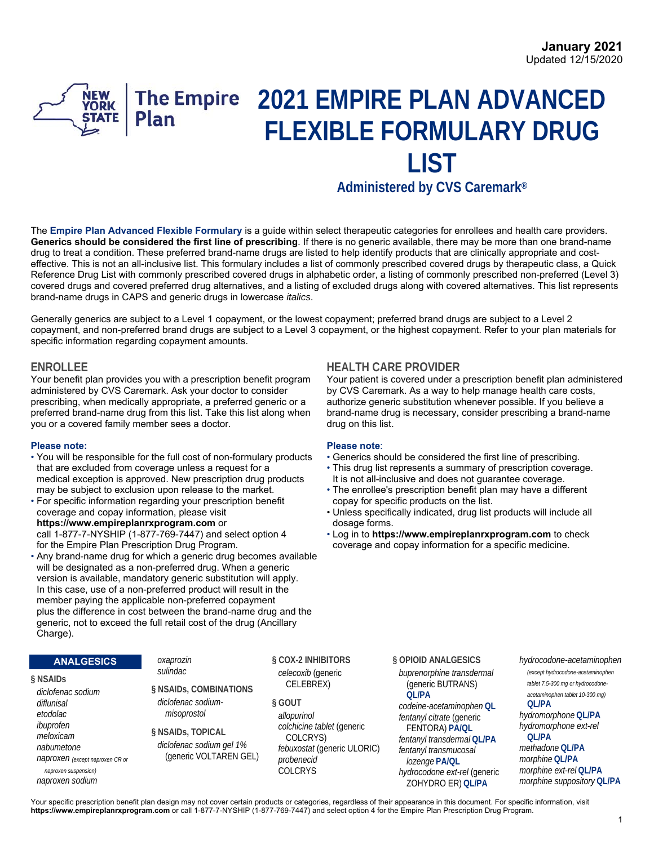# **2021 EMPIRE PLAN ADVANCED NEW**<br>YORK **The Empire FLEXIBLE FORMULARY DRUG LIST Administered by CVS Caremark®**

The **Empire Plan Advanced Flexible Formulary** is a guide within select therapeutic categories for enrollees and health care providers. **Generics should be considered the first line of prescribing**. If there is no generic available, there may be more than one brand-name drug to treat a condition. These preferred brand-name drugs are listed to help identify products that are clinically appropriate and costeffective. This is not an all-inclusive list. This formulary includes a list of commonly prescribed covered drugs by therapeutic class, a Quick Reference Drug List with commonly prescribed covered drugs in alphabetic order, a listing of commonly prescribed non-preferred (Level 3) covered drugs and covered preferred drug alternatives, and a listing of excluded drugs along with covered alternatives. This list represents brand-name drugs in CAPS and generic drugs in lowercase *italics*.

Generally generics are subject to a Level 1 copayment, or the lowest copayment; preferred brand drugs are subject to a Level 2 copayment, and non-preferred brand drugs are subject to a Level 3 copayment, or the highest copayment. Refer to your plan materials for specific information regarding copayment amounts.

Your benefit plan provides you with a prescription benefit program administered by CVS Caremark. Ask your doctor to consider prescribing, when medically appropriate, a preferred generic or a preferred brand-name drug from this list. Take this list along when you or a covered family member sees a doctor.

- **Please note: Please note**: • You will be responsible for the full cost of non-formulary products that are excluded from coverage unless a request for a • This drug list represents a summary of prescription coverage. medical exception is approved. New prescription drug products It is not all-inclusive and does not guarantee coverage.
- For specific information regarding your prescription benefit copay for specific products on the list. https://www.empireplanrxprogram.com or dosage forms.<br>call 1-877-7-NYSHIP (1-877-769-7447) and select option 4 **compare 1-8** to the https
- Any brand-name drug for which a generic drug becomes available will be designated as a non-preferred drug. When a generic version is available, mandatory generic substitution will apply. In this case, use of a non-preferred product will result in the member paying the applicable non-preferred copayment plus the difference in cost between the brand-name drug and the generic, not to exceed the full retail cost of the drug (Ancillary Charge).

## **ENROLLEE HEALTH CARE PROVIDER**

Your patient is covered under a prescription benefit plan administered by CVS Caremark. As a way to help manage health care costs, authorize generic substitution whenever possible. If you believe a brand-name drug is necessary, consider prescribing a brand-name drug on this list.

- 
- 
- may be subject to exclusion upon release to the market. The enrollee's prescription benefit plan may have a different
- coverage and copay information, please visit Unless specifically indicated, drug list products will include all
- call 1-877-7-NYSHIP (1-877-769-7447) and select option 4 Log in to **https://www.empireplanrxprogram.com** to check coverage and copay information for a specific medicine.

| <b>ANALGESICS</b>                                                                                                                                          | oxaprozin                                                                                                                                          | § COX-2 INHIBITORS                                                                                                                                                | § OPIOID ANALGESICS                                                                                                                                                                                                                         | hydrocodone-acetaminophen                                                                                                                                                                                                                         |
|------------------------------------------------------------------------------------------------------------------------------------------------------------|----------------------------------------------------------------------------------------------------------------------------------------------------|-------------------------------------------------------------------------------------------------------------------------------------------------------------------|---------------------------------------------------------------------------------------------------------------------------------------------------------------------------------------------------------------------------------------------|---------------------------------------------------------------------------------------------------------------------------------------------------------------------------------------------------------------------------------------------------|
| § NSAIDs<br>diclofenac sodium<br>diflunisal<br>etodolac<br>ibuprofen<br>meloxicam<br>nabumetone<br>naproxen (except naproxen CR or<br>naproxen suspension) | sulindac<br>§ NSAIDs, COMBINATIONS<br>diclofenac sodium-<br>misoprostol<br>§ NSAIDS, TOPICAL<br>diclofenac sodium gel 1%<br>(generic VOLTAREN GEL) | celecoxib (generic<br>CELEBREX)<br>§ GOUT<br>allopurinol<br>colchicine tablet (generic<br>COLCRYS)<br>febuxostat (generic ULORIC)<br>probenecid<br><b>COLCRYS</b> | buprenorphine transdermal<br>(generic BUTRANS)<br>OI /PA<br>codeine-acetaminophen QL<br>fentanyl citrate (generic<br>FENTORA) PA/QL<br>fentanyl transdermal QL/PA<br>fentanyl transmucosal<br>lozenge PA/QL<br>hydrocodone ext-rel (generic | (except hydrocodone-acetaminophen<br>tablet 7.5-300 mg or hydrocodone-<br>acetaminophen tablet 10-300 mg)<br><b>OL/PA</b><br>hydromorphone QL/PA<br>hydromorphone ext-rel<br>OI /PA<br>methadone QL/PA<br>morphine QL/PA<br>morphine ext-re/QL/PA |
| naproxen sodium                                                                                                                                            |                                                                                                                                                    |                                                                                                                                                                   | ZOHYDRO ER) OL/PA                                                                                                                                                                                                                           | morphine suppository QL/PA                                                                                                                                                                                                                        |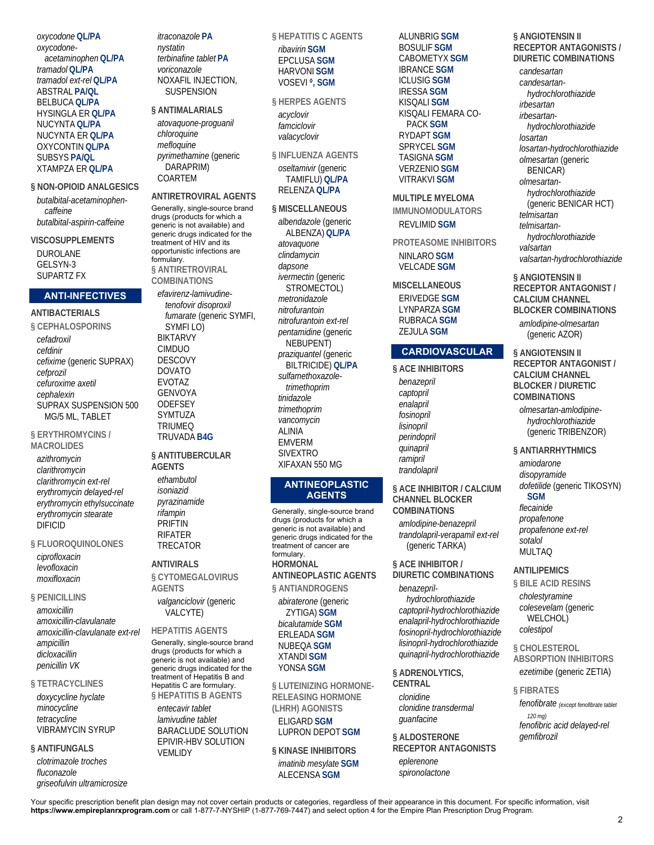*oxycodone* **QL/PA** *oxycodoneacetaminophen* **QL/PA** *tramadol* **QL/PA** *tramadol ext-rel* **QL/PA** ABSTRAL **PA/QL** BELBUCA **QL/PA** HYSINGLA ER **QL/PA** NUCYNTA **QL/PA** NUCYNTA ER **QL/PA** OXYCONTIN **QL/PA** SUBSYS **PA/QL** XTAMPZA ER **QL/PA**

**§ NON-OPIOID ANALGESICS**  *butalbital-acetaminophencaffeine butalbital-aspirin-caffeine*

**VISCOSUPPLEMENTS**  DUROLANE GELSYN-3 SUPARTZ FX

#### **ANTI-INFECTIVES**

**ANTIBACTERIALS § CEPHALOSPORINS**  *cefadroxil cefdinir cefixime* (generic SUPRAX) *cefprozil cefuroxime axetil cephalexin* SUPRAX SUSPENSION 500 MG/5 ML, TABLET

#### **§ ERYTHROMYCINS / MACROLIDES**

*azithromycin clarithromycin clarithromycin ext-rel erythromycin delayed-rel erythromycin ethylsuccinate erythromycin stearate* DIFICID

**§ FLUOROQUINOLONES** 

*ciprofloxacin levofloxacin moxifloxacin*

**§ PENICILLINS**  *amoxicillin amoxicillin-clavulanate amoxicillin-clavulanate ext-rel ampicillin dicloxacillin penicillin VK*

#### **§ TETRACYCLINES**

*doxycycline hyclate minocycline tetracycline* VIBRAMYCIN SYRUP

#### **§ ANTIFUNGALS**

*clotrimazole troches fluconazole griseofulvin ultramicrosize* *itraconazole* **PA** *nystatin terbinafine tablet* **PA** *voriconazole* NOXAFIL INJECTION, **SUSPENSION** 

#### **§ ANTIMALARIALS**

*atovaquone-proguanil chloroquine mefloquine pyrimethamine* (generic DARAPRIM) COARTEM

#### **ANTIRETROVIRAL AGENTS**

Generally, single-source brand drugs (products for which a generic is not available) and generic drugs indicated for the treatment of HIV and its opportunistic infections are formulary. **§ ANTIRETROVIRAL COMBINATIONS** 

*efavirenz-lamivudinetenofovir disoproxil fumarate* (generic SYMFI, SYMFI LO) BIKTARVY CIMDUO DESCOVY DOVATO EVOTAZ GENVOYA **ODEFSEY** SYMTUZA TRIUMEQ TRUVADA **B4G**

#### **§ ANTITUBERCULAR AGENTS**

*ethambutol isoniazid pyrazinamide rifampin* PRIFTIN RIFATER TRECATOR

#### **ANTIVIRALS**

**§ CYTOMEGALOVIRUS AGENTS** 

*valganciclovir* (generic VALCYTE)

**HEPATITIS AGENTS**  Generally, single-source brand drugs (products for which a generic is not available) and generic drugs indicated for the treatment of Hepatitis B and Hepatitis C are formulary. **§ HEPATITIS B AGENTS** 

*entecavir tablet lamivudine tablet* BARACLUDE SOLUTION EPIVIR-HBV SOLUTION VEMLIDY

**§ HEPATITIS C AGENTS**  *ribavirin* **SGM**

#### EPCLUSA **SGM** HARVONI **SGM** VOSEVI **◊, SGM**

#### **§ HERPES AGENTS**

*acyclovir famciclovir valacyclovir*

**§ INFLUENZA AGENTS**  *oseltamivir* (generic TAMIFLU) **QL/PA** RELENZA **QL/PA**

#### **§ MISCELLANEOUS**

*albendazole* (generic ALBENZA) **QL/PA** *atovaquone clindamycin dapsone ivermectin* (generic STROMECTOL) *metronidazole nitrofurantoin nitrofurantoin ext-rel pentamidine* (generic NEBUPENT) *praziquantel* (generic BILTRICIDE) **QL/PA** *sulfamethoxazoletrimethoprim tinidazole trimethoprim vancomycin* ALINIA EMVERM SIVEXTRO XIFAXAN 550 MG

#### **ANTINEOPLASTIC AGENTS**

Generally, single-source brand drugs (products for which a generic is not available) and generic drugs indicated for the treatment of cancer are formulary. **HORMONAL ANTINEOPLASTIC AGENTS** 

**§ ANTIANDROGENS** 

*abiraterone* (generic ZYTIGA) **SGM** *bicalutamide* **SGM** ERLEADA **SGM** NUBEQA **SGM** XTANDI **SGM** YONSA **SGM**

**§ LUTEINIZING HORMONE-RELEASING HORMONE (LHRH) AGONISTS**  ELIGARD **SGM**

LUPRON DEPOT **SGM**

**§ KINASE INHIBITORS**  *imatinib mesylate* **SGM** ALECENSA **SGM**

ALUNBRIG **SGM** BOSULIF **SGM** CABOMETYX **SGM** IBRANCE **SGM** ICLUSIG **SGM** IRESSA **SGM** KISQALI **SGM** KISQALI FEMARA CO-PACK **SGM** RYDAPT **SGM** SPRYCEL **SGM** TASIGNA **SGM** VERZENIO **SGM** VITRAKVI **SGM**

**MULTIPLE MYELOMA IMMUNOMODULATORS**  REVLIMID **SGM**

**PROTEASOME INHIBITORS**  NINLARO **SGM** VELCADE **SGM**

# **MISCELLANEOUS**

ERIVEDGE **SGM** LYNPARZA **SGM** RUBRACA **SGM** ZEJULA **SGM**

## **CARDIOVASCULAR**

**§ ACE INHIBITORS**  *benazepril captopril enalapril fosinopril lisinopril perindopril quinapril ramipril trandolapril*

**§ ACE INHIBITOR / CALCIUM CHANNEL BLOCKER COMBINATIONS** 

*amlodipine-benazepril trandolapril-verapamil ext-rel* (generic TARKA)

**§ ACE INHIBITOR / DIURETIC COMBINATIONS**  *benazepril-*

*hydrochlorothiazide captopril-hydrochlorothiazide enalapril-hydrochlorothiazide fosinopril-hydrochlorothiazide lisinopril-hydrochlorothiazide quinapril-hydrochlorothiazide*

**§ ADRENOLYTICS, CENTRAL**  *clonidine clonidine transdermal guanfacine*

**§ ALDOSTERONE RECEPTOR ANTAGONISTS**  *eplerenone spironolactone*

#### **§ ANGIOTENSIN II RECEPTOR ANTAGONISTS / DIURETIC COMBINATIONS**

*candesartan candesartanhydrochlorothiazide irbesartan irbesartanhydrochlorothiazide losartan losartan-hydrochlorothiazide olmesartan* (generic BENICAR) *olmesartanhydrochlorothiazide* (generic BENICAR HCT) *telmisartan telmisartanhydrochlorothiazide valsartan valsartan-hydrochlorothiazide*

**§ ANGIOTENSIN II RECEPTOR ANTAGONIST / CALCIUM CHANNEL BLOCKER COMBINATIONS**  *amlodipine-olmesartan* (generic AZOR)

**§ ANGIOTENSIN II RECEPTOR ANTAGONIST / CALCIUM CHANNEL BLOCKER / DIURETIC COMBINATIONS** 

*olmesartan-amlodipinehydrochlorothiazide* (generic TRIBENZOR)

**§ ANTIARRHYTHMICS** 

*amiodarone disopyramide dofetilide* (generic TIKOSYN)

## **SGM**

*flecainide propafenone propafenone ext-rel sotalol* MULTAQ

**ANTILIPEMICS** 

**§ BILE ACID RESINS** 

*cholestyramine colesevelam* (generic WELCHOL) *colestipol*

**§ CHOLESTEROL ABSORPTION INHIBITORS**  *ezetimibe* (generic ZETIA)

**§ FIBRATES** 

*fenofibrate (except fenofibrate tablet 120 mg) fenofibric acid delayed-rel gemfibrozil*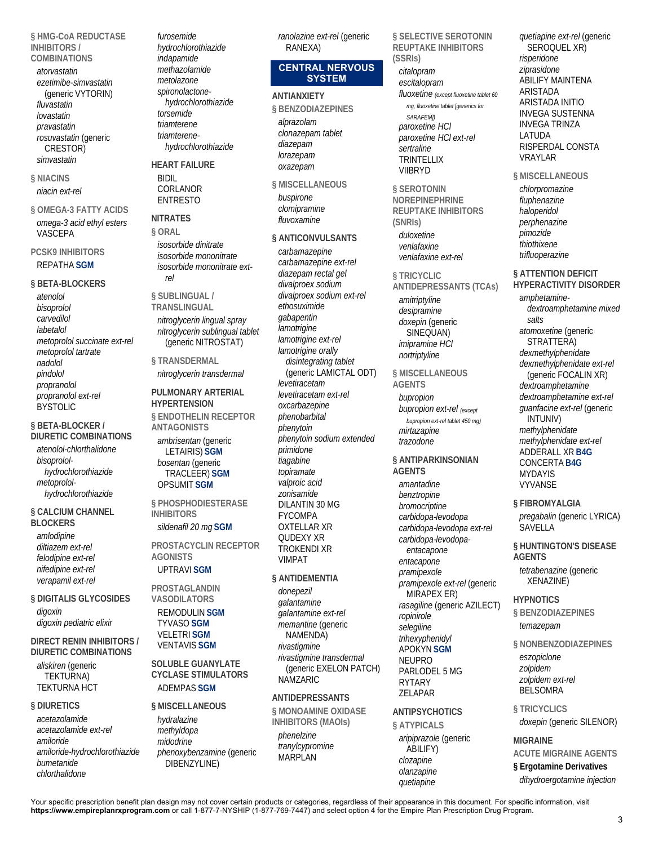**§ HMG-CoA REDUCTASE INHIBITORS / COMBINATIONS** 

- *atorvastatin ezetimibe-simvastatin* (generic VYTORIN) *fluvastatin lovastatin pravastatin rosuvastatin* (generic CRESTOR) *simvastatin*
- **§ NIACINS**  *niacin ext-rel*
- **§ OMEGA-3 FATTY ACIDS**  *omega-3 acid ethyl esters* VASCEPA

## **PCSK9 INHIBITORS**  REPATHA **SGM**

#### **§ BETA-BLOCKERS**

*atenolol bisoprolol carvedilol labetalol metoprolol succinate ext-rel metoprolol tartrate nadolol pindolol propranolol propranolol ext-rel* BYSTOLIC

#### **§ BETA-BLOCKER / DIURETIC COMBINATIONS**

*atenolol-chlorthalidone bisoprololhydrochlorothiazide metoprololhydrochlorothiazide*

# **§ CALCIUM CHANNEL**

**BLOCKERS**  *amlodipine diltiazem ext-rel felodipine ext-rel nifedipine ext-rel verapamil ext-rel*

**§ DIGITALIS GLYCOSIDES**  *digoxin digoxin pediatric elixir*

**DIRECT RENIN INHIBITORS / DIURETIC COMBINATIONS** 

*aliskiren* (generic TEKTURNA) TEKTURNA HCT

## **§ DIURETICS**

*acetazolamide acetazolamide ext-rel amiloride amiloride-hydrochlorothiazide bumetanide chlorthalidone*

*furosemide hydrochlorothiazide indapamide methazolamide metolazone spironolactonehydrochlorothiazide torsemide triamterene triamterenehydrochlorothiazide*

**HEART FAILURE**  BIDIL CORLANOR ENTRESTO

**NITRATES § ORAL**  *isosorbide dinitrate isosorbide mononitrate isosorbide mononitrate extrel*

## **§ SUBLINGUAL / TRANSLINGUAL**  *nitroglycerin lingual spray*

*nitroglycerin sublingual tablet* (generic NITROSTAT)

**§ TRANSDERMAL**  *nitroglycerin transdermal*

## **PULMONARY ARTERIAL HYPERTENSION**

**§ ENDOTHELIN RECEPTOR ANTAGONISTS**  *ambrisentan* (generic LETAIRIS) **SGM** *bosentan* (generic TRACLEER) **SGM** OPSUMIT **SGM**

**§ PHOSPHODIESTERASE INHIBITORS** 

## *sildenafil 20 mg* **SGM**

**PROSTACYCLIN RECEPTOR AGONISTS**  UPTRAVI **SGM**

#### **PROSTAGLANDIN VASODILATORS**

REMODULIN **SGM** TYVASO **SGM** VELETRI **SGM** VENTAVIS **SGM**

**SOLUBLE GUANYLATE CYCLASE STIMULATORS**  ADEMPAS **SGM**

## **§ MISCELLANEOUS**  *hydralazine*

*methyldopa midodrine phenoxybenzamine* (generic DIBENZYLINE)

*ranolazine ext-rel* (generic RANEXA)

## **CENTRAL NERVOUS SYSTEM**

**ANTIANXIETY § BENZODIAZEPINES**  *alprazolam clonazepam tablet diazepam lorazepam oxazepam*

**§ MISCELLANEOUS**  *buspirone clomipramine fluvoxamine*

**§ ANTICONVULSANTS**  *carbamazepine carbamazepine ext-rel diazepam rectal gel divalproex sodium divalproex sodium ext-rel ethosuximide gabapentin lamotrigine lamotrigine ext-rel lamotrigine orally disintegrating tablet* (generic LAMICTAL ODT) *levetiracetam levetiracetam ext-rel oxcarbazepine phenobarbital phenytoin phenytoin sodium extended primidone tiagabine topiramate valproic acid zonisamide* DILANTIN 30 MG FYCOMPA OXTELLAR XR QUDEXY XR TROKENDI XR VIMPAT

## **§ ANTIDEMENTIA**

*donepezil galantamine galantamine ext-rel memantine* (generic NAMENDA) *rivastigmine rivastigmine transdermal* (generic EXELON PATCH) NAMZARIC

## **ANTIDEPRESSANTS**

**§ MONOAMINE OXIDASE INHIBITORS (MAOIs)**  *phenelzine tranylcypromine* MARPLAN

**§ SELECTIVE SEROTONIN REUPTAKE INHIBITORS (SSRIs)**  *citalopram escitalopram fluoxetine (except fluoxetine tablet 60 mg, fluoxetine tablet [generics for SARAFEM]) paroxetine HCl paroxetine HCl ext-rel sertraline* **TRINTELLIX** VIIBRYD

**§ SEROTONIN NOREPINEPHRINE REUPTAKE INHIBITORS (SNRIs)**  *duloxetine venlafaxine venlafaxine ext-rel*

# **§ TRICYCLIC**

**ANTIDEPRESSANTS (TCAs)**  *amitriptyline desipramine doxepin* (generic SINEQUAN) *imipramine HCl nortriptyline*

## **§ MISCELLANEOUS**

**AGENTS**  *bupropion bupropion ext-rel (except bupropion ext-rel tablet 450 mg) mirtazapine trazodone*

# **§ ANTIPARKINSONIAN**

**AGENTS**  *amantadine benztropine bromocriptine carbidopa-levodopa carbidopa-levodopa ext-rel carbidopa-levodopaentacapone entacapone pramipexole pramipexole ext-rel* (generic MIRAPEX ER) *rasagiline* (generic AZILECT) *ropinirole selegiline trihexyphenidyl* APOKYN **SGM** NEUPRO PARLODEL 5 MG RYTARY ZELAPAR

## **ANTIPSYCHOTICS**

**§ ATYPICALS**  *aripiprazole* (generic ABILIFY) *clozapine olanzapine quetiapine*

*quetiapine ext-rel* (generic SEROQUEL XR) *risperidone ziprasidone* ABILIFY MAINTENA ARISTADA ARISTADA INITIO INVEGA SUSTENNA INVEGA TRINZA LATUDA RISPERDAL CONSTA VRAYLAR

**§ MISCELLANEOUS**  *chlorpromazine fluphenazine haloperidol perphenazine pimozide thiothixene trifluoperazine*

## **§ ATTENTION DEFICIT**

**HYPERACTIVITY DISORDER**  *amphetaminedextroamphetamine mixed salts atomoxetine* (generic STRATTERA) *dexmethylphenidate dexmethylphenidate ext-rel* (generic FOCALIN XR) *dextroamphetamine dextroamphetamine ext-rel guanfacine ext-rel* (generic INTUNIV) *methylphenidate methylphenidate ext-rel* ADDERALL XR **B4G** CONCERTA **B4G** MYDAYIS VYVANSE

# **§ FIBROMYALGIA**

*pregabalin* (generic LYRICA) **SAVELLA** 

**§ HUNTINGTON'S DISEASE AGENTS**  *tetrabenazine* (generic XENAZINE)

## **HYPNOTICS § BENZODIAZEPINES**  *temazepam*

**§ NONBENZODIAZEPINES**  *eszopiclone zolpidem zolpidem ext-rel*

**§ TRICYCLICS**  *doxepin* (generic SILENOR)

## **MIGRAINE**

BELSOMRA

**ACUTE MIGRAINE AGENTS § Ergotamine Derivatives**  *dihydroergotamine injection*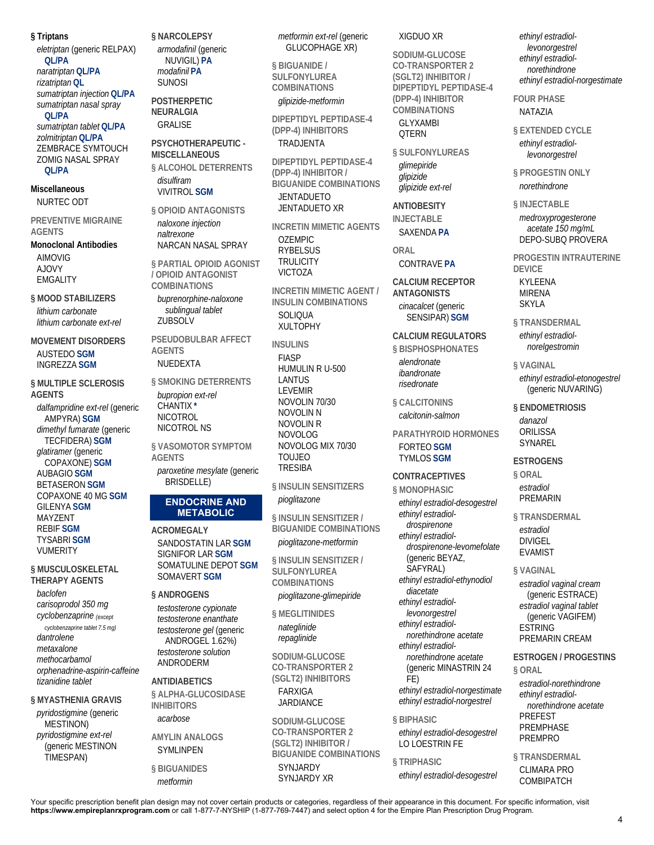**§ Triptans** 

*eletriptan* (generic RELPAX) **QL/PA** *naratriptan* **QL/PA** *rizatriptan* **QL** *sumatriptan injection* **QL/PA** *sumatriptan nasal spray* **QL/PA** *sumatriptan tablet* **QL/PA** *zolmitriptan* **QL/PA** ZEMBRACE SYMTOUCH ZOMIG NASAL SPRAY **QL/PA**

**Miscellaneous**  NURTEC ODT

**PREVENTIVE MIGRAINE AGENTS** 

**Monoclonal Antibodies**  AIMOVIG AJOVY EMGALITY

**§ MOOD STABILIZERS**  *lithium carbonate lithium carbonate ext-rel*

**MOVEMENT DISORDERS**  AUSTEDO **SGM** INGREZZA **SGM**

**§ MULTIPLE SCLEROSIS AGENTS**  *dalfampridine ext-rel* (generic AMPYRA) **SGM** *dimethyl fumarate* (generic TECFIDERA) **SGM** *glatiramer* (generic COPAXONE) **SGM** AUBAGIO **SGM** BETASERON **SGM** COPAXONE 40 MG **SGM** GILENYA **SGM** MAYZENT REBIF **SGM** TYSABRI **SGM** VUMERITY

**§ MUSCULOSKELETAL THERAPY AGENTS** 

*baclofen carisoprodol 350 mg cyclobenzaprine (except* 

*cyclobenzaprine tablet 7.5 mg) dantrolene metaxalone methocarbamol orphenadrine-aspirin-caffeine tizanidine tablet*

**§ MYASTHENIA GRAVIS**  *pyridostigmine* (generic MESTINON) *pyridostigmine ext-rel* (generic MESTINON TIMESPAN)

**§ NARCOLEPSY**  *armodafinil* (generic NUVIGIL) **PA** *modafinil* **PA** SUNOSI

**POSTHERPETIC NEURALGIA**  GRALISE

**PSYCHOTHERAPEUTIC - MISCELLANEOUS** 

**§ ALCOHOL DETERRENTS**  *disulfiram* VIVITROL **SGM**

**§ OPIOID ANTAGONISTS**  *naloxone injection naltrexone* NARCAN NASAL SPRAY

**§ PARTIAL OPIOID AGONIST / OPIOID ANTAGONIST COMBINATIONS** 

*buprenorphine-naloxone sublingual tablet* ZUBSOLV

**PSEUDOBULBAR AFFECT AGENTS**  NUEDEXTA

**§ SMOKING DETERRENTS**  *bupropion ext-rel* CHANTIX **\*** NICOTROL NICOTROL NS

**§ VASOMOTOR SYMPTOM AGENTS**  *paroxetine mesylate* (generic BRISDELLE)

## **ENDOCRINE AND METABOLIC**

**ACROMEGALY**  SANDOSTATIN LAR **SGM** SIGNIFOR LAR **SGM** SOMATULINE DEPOT **SGM** SOMAVERT **SGM**

**§ ANDROGENS** 

*testosterone cypionate testosterone enanthate testosterone gel* (generic ANDROGEL 1.62%) *testosterone solution* ANDRODERM

**ANTIDIABETICS** 

**§ ALPHA-GLUCOSIDASE INHIBITORS**  *acarbose*

**AMYLIN ANALOGS**  SYMLINPEN

**§ BIGUANIDES**  *metformin*

*metformin ext-rel* (generic GLUCOPHAGE XR)

**§ BIGUANIDE / SULFONYLUREA COMBINATIONS**  *glipizide-metformin*

**DIPEPTIDYL PEPTIDASE-4 (DPP-4) INHIBITORS**  TRADJENTA

**DIPEPTIDYL PEPTIDASE-4 (DPP-4) INHIBITOR / BIGUANIDE COMBINATIONS**  JENTADUETO JENTADUETO XR

**INCRETIN MIMETIC AGENTS**  OZEMPIC RYBELSUS **TRULICITY** VICTOZA **INCRETIN MIMETIC AGENT /** 

**INSULIN COMBINATIONS SOLIQUA** XULTOPHY

**INSULINS**  FIASP HUMULIN R U-500 LANTUS LEVEMIR NOVOLIN 70/30 NOVOLIN N NOVOLIN R NOVOLOG NOVOLOG MIX 70/30 TOUJEO TRESIBA

**§ INSULIN SENSITIZERS**  *pioglitazone*

**§ INSULIN SENSITIZER / BIGUANIDE COMBINATIONS** 

*pioglitazone-metformin*

**§ INSULIN SENSITIZER / SULFONYLUREA COMBINATIONS**  *pioglitazone-glimepiride*

**§ MEGLITINIDES**  *nateglinide*

*repaglinide*

**SODIUM-GLUCOSE CO-TRANSPORTER 2 (SGLT2) INHIBITORS** 

FARXIGA *JARDIANCE* 

**SODIUM-GLUCOSE CO-TRANSPORTER 2 (SGLT2) INHIBITOR / BIGUANIDE COMBINATIONS**  SYNJARDY SYNJARDY XR

XIGDUO XR

**SODIUM-GLUCOSE CO-TRANSPORTER 2 (SGLT2) INHIBITOR / DIPEPTIDYL PEPTIDASE-4 (DPP-4) INHIBITOR COMBINATIONS**  GLYXAMBI **OTERN** 

**§ SULFONYLUREAS**  *glimepiride glipizide glipizide ext-rel*

**ANTIOBESITY INJECTABLE**  SAXENDA **PA**

**ORAL** 

CONTRAVE **PA**

**CALCIUM RECEPTOR ANTAGONISTS**  *cinacalcet* (generic SENSIPAR) **SGM**

**CALCIUM REGULATORS § BISPHOSPHONATES**  *alendronate*

*ibandronate risedronate*

**§ CALCITONINS**  *calcitonin-salmon*

**PARATHYROID HORMONES**  FORTEO **SGM** TYMLOS **SGM**

**CONTRACEPTIVES** 

**§ MONOPHASIC**  *ethinyl estradiol-desogestrel ethinyl estradioldrospirenone ethinyl estradioldrospirenone-levomefolate* (generic BEYAZ, SAFYRAL) *ethinyl estradiol-ethynodiol diacetate ethinyl estradiollevonorgestrel ethinyl estradiolnorethindrone acetate ethinyl estradiolnorethindrone acetate* (generic MINASTRIN 24 FE) *ethinyl estradiol-norgestimate ethinyl estradiol-norgestrel* **§ BIPHASIC** 

*ethinyl estradiol-desogestrel* LO LOESTRIN FE

*ethinyl estradiol-desogestrel*

**§ TRIPHASIC** 

*ethinyl estradiollevonorgestrel ethinyl estradiolnorethindrone ethinyl estradiol-norgestimate*

**FOUR PHASE**  NATAZIA

**§ EXTENDED CYCLE**  *ethinyl estradiollevonorgestrel*

**§ PROGESTIN ONLY**  *norethindrone*

**§ INJECTABLE**  *medroxyprogesterone acetate 150 mg/mL* DEPO-SUBQ PROVERA

**PROGESTIN INTRAUTERINE DEVICE**  KYLEENA MIRENA SKYLA

**§ TRANSDERMAL**  *ethinyl estradiolnorelgestromin*

**§ VAGINAL**  *ethinyl estradiol-etonogestrel* (generic NUVARING)

**§ ENDOMETRIOSIS**  *danazol* ORILISSA SYNAREL

**ESTROGENS** 

**§ ORAL**  *estradiol* PREMARIN

**§ TRANSDERMAL**  *estradiol* DIVIGEL EVAMIST

**§ VAGINAL** 

*estradiol vaginal cream* (generic ESTRACE) *estradiol vaginal tablet* (generic VAGIFEM) ESTRING PREMARIN CREAM

**ESTROGEN / PROGESTINS § ORAL**  *estradiol-norethindrone*

*ethinyl estradiolnorethindrone acetate* PREFEST PREMPHASE PREMPRO

**§ TRANSDERMAL**  CLIMARA PRO COMBIPATCH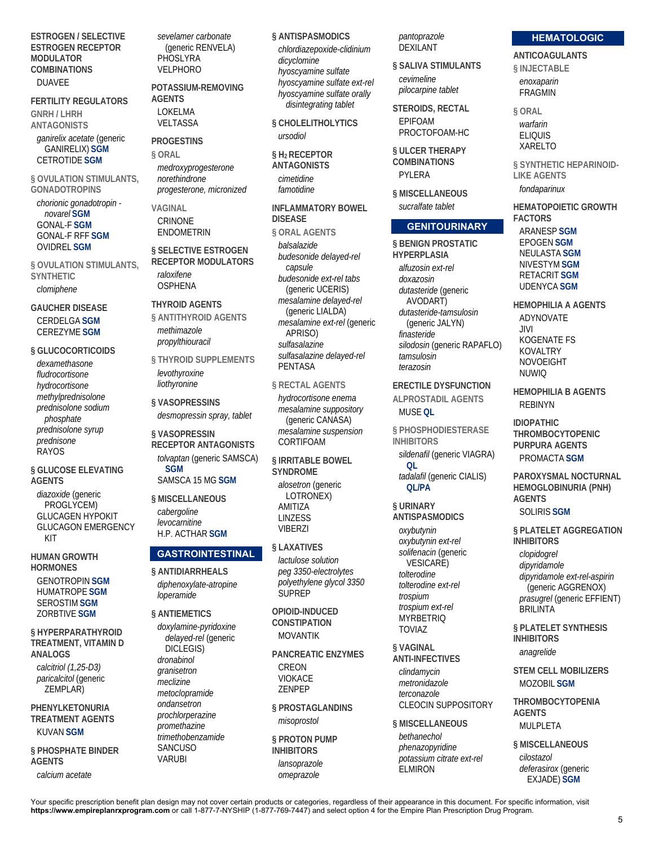**ESTROGEN / SELECTIVE ESTROGEN RECEPTOR MODULATOR COMBINATIONS**  DUAVEE

#### **FERTILITY REGULATORS**

**GNRH / LHRH ANTAGONISTS** 

*ganirelix acetate* (generic GANIRELIX) **SGM** CETROTIDE **SGM**

**§ OVULATION STIMULANTS, GONADOTROPINS** 

*chorionic gonadotropin novarel* **SGM** GONAL-F **SGM** GONAL-F RFF **SGM** OVIDREL **SGM**

**§ OVULATION STIMULANTS, SYNTHETIC**  *clomiphene*

**GAUCHER DISEASE**  CERDELGA **SGM** CEREZYME **SGM**

**§ GLUCOCORTICOIDS**  *dexamethasone fludrocortisone hydrocortisone methylprednisolone prednisolone sodium phosphate prednisolone syrup prednisone* RAYOS

**§ GLUCOSE ELEVATING AGENTS** 

*diazoxide* (generic PROGLYCEM) GLUCAGEN HYPOKIT GLUCAGON EMERGENCY KIT

**HUMAN GROWTH HORMONES**  GENOTROPIN **SGM** HUMATROPE **SGM** SEROSTIM **SGM** ZORBTIVE **SGM**

**§ HYPERPARATHYROID TREATMENT, VITAMIN D ANALOGS**  *calcitriol (1,25-D3) paricalcitol* (generic ZEMPLAR)

**PHENYLKETONURIA TREATMENT AGENTS**  KUVAN **SGM**

**§ PHOSPHATE BINDER AGENTS** 

*calcium acetate*

*sevelamer carbonate* (generic RENVELA) **PHOSLYRA** VELPHORO

**POTASSIUM-REMOVING AGENTS**  LOKELMA VELTASSA

**PROGESTINS § ORAL** 

*medroxyprogesterone norethindrone progesterone, micronized*

**VAGINAL CRINONE** ENDOMETRIN

**§ SELECTIVE ESTROGEN RECEPTOR MODULATORS**  *raloxifene* **OSPHENA** 

**THYROID AGENTS** 

**§ ANTITHYROID AGENTS**  *methimazole propylthiouracil*

**§ THYROID SUPPLEMENTS**  *levothyroxine liothyronine*

**§ VASOPRESSINS**  *desmopressin spray, tablet*

**§ VASOPRESSIN RECEPTOR ANTAGONISTS**  *tolvaptan* (generic SAMSCA) **SGM** SAMSCA 15 MG **SGM**

**§ MISCELLANEOUS**  *cabergoline levocarnitine* H.P. ACTHAR **SGM**

## **GASTROINTESTINAL**

**§ ANTIDIARRHEALS**  *diphenoxylate-atropine loperamide*

**§ ANTIEMETICS** 

*doxylamine-pyridoxine delayed-rel* (generic DICLEGIS) *dronabinol granisetron meclizine metoclopramide ondansetron prochlorperazine promethazine trimethobenzamide* **SANCUSO** VARUBI

**§ ANTISPASMODICS**  *chlordiazepoxide-clidinium*

*dicyclomine hyoscyamine sulfate hyoscyamine sulfate ext-rel hyoscyamine sulfate orally disintegrating tablet*

**§ CHOLELITHOLYTICS**  *ursodiol*

**§ H2 RECEPTOR ANTAGONISTS**  *cimetidine famotidine*

**INFLAMMATORY BOWEL DISEASE § ORAL AGENTS**  *balsalazide*

*budesonide delayed-rel capsule budesonide ext-rel tabs* (generic UCERIS) *mesalamine delayed-rel* (generic LIALDA) *mesalamine ext-rel* (generic APRISO) *sulfasalazine sulfasalazine delayed-rel* PENTASA

**§ RECTAL AGENTS** 

*hydrocortisone enema mesalamine suppository* (generic CANASA) *mesalamine suspension* CORTIFOAM

**§ IRRITABLE BOWEL SYNDROME**  *alosetron* (generic LOTRONEX) AMITIZA LINZESS VIBERZI

**§ LAXATIVES**  *lactulose solution peg 3350-electrolytes polyethylene glycol 3350* SUPREP

**OPIOID-INDUCED CONSTIPATION**  MOVANTIK

**PANCREATIC ENZYMES**  CREON VIOKACE ZENPEP

**§ PROSTAGLANDINS**  *misoprostol*

**§ PROTON PUMP INHIBITORS**  *lansoprazole omeprazole*

*pantoprazole* DEXILANT

**§ SALIVA STIMULANTS**  *cevimeline pilocarpine tablet*

**STEROIDS, RECTAL**  EPIFOAM PROCTOFOAM-HC

**§ ULCER THERAPY COMBINATIONS**  PYLERA

**§ MISCELLANEOUS**  *sucralfate tablet*

## **GENITOURINARY**

**§ BENIGN PROSTATIC HYPERPLASIA**  *alfuzosin ext-rel doxazosin dutasteride* (generic AVODART) *dutasteride-tamsulosin* (generic JALYN) *finasteride silodosin* (generic RAPAFLO) *tamsulosin terazosin*

**ERECTILE DYSFUNCTION ALPROSTADIL AGENTS**  MUSE **QL**

**§ PHOSPHODIESTERASE INHIBITORS** 

*sildenafil* (generic VIAGRA) **QL** *tadalafil* (generic CIALIS) **QL/PA**

**§ URINARY** 

**ANTISPASMODICS**  *oxybutynin oxybutynin ext-rel*

*solifenacin* (generic VESICARE) *tolterodine tolterodine ext-rel trospium trospium ext-rel* **MYRBETRIQ** TOVIAZ

**§ VAGINAL ANTI-INFECTIVES** 

> *clindamycin metronidazole terconazole* CLEOCIN SUPPOSITORY

**§ MISCELLANEOUS**  *bethanechol phenazopyridine potassium citrate ext-rel* **ELMIRON** 

#### **HEMATOLOGIC**

**ANTICOAGULANTS** 

**§ INJECTABLE**  *enoxaparin* FRAGMIN

**§ ORAL**  *warfarin* ELIQUIS XARELTO

**§ SYNTHETIC HEPARINOID-LIKE AGENTS**  *fondaparinux*

**HEMATOPOIETIC GROWTH FACTORS**  ARANESP **SGM** EPOGEN **SGM** NEULASTA **SGM** NIVESTYM **SGM** RETACRIT **SGM** UDENYCA **SGM**

**HEMOPHILIA A AGENTS**  ADYNOVATE JIVI KOGENATE FS KOVALTRY NOVOEIGHT NUWIQ

**HEMOPHILIA B AGENTS**  REBINYN

**IDIOPATHIC THROMBOCYTOPENIC PURPURA AGENTS**  PROMACTA **SGM**

**PAROXYSMAL NOCTURNAL HEMOGLOBINURIA (PNH) AGENTS**  SOLIRIS **SGM**

**§ PLATELET AGGREGATION INHIBITORS**  *clopidogrel dipyridamole dipyridamole ext-rel-aspirin* (generic AGGRENOX) *prasugrel* (generic EFFIENT) **BRILINTA** 

**§ PLATELET SYNTHESIS INHIBITORS**  *anagrelide*

**STEM CELL MOBILIZERS**  MOZOBIL **SGM**

**THROMBOCYTOPENIA AGENTS**  MULPLETA

**§ MISCELLANEOUS**  *cilostazol deferasirox* (generic EXJADE) **SGM**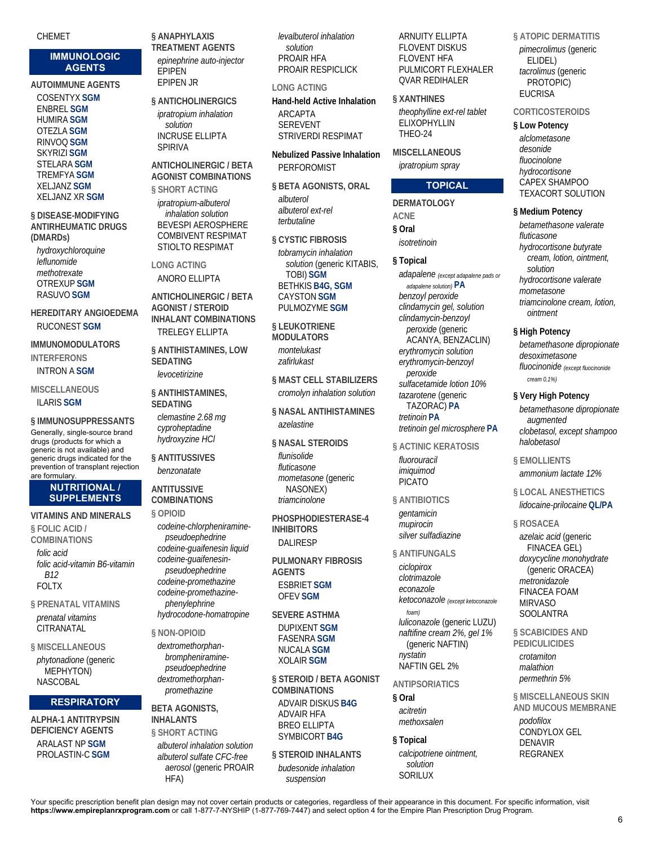CHEMET

## **IMMUNOLOGIC AGENTS**

## **AUTOIMMUNE AGENTS**

COSENTYX **SGM** ENBREL **SGM** HUMIRA **SGM** OTEZLA **SGM** RINVOQ **SGM** SKYRIZI **SGM** STELARA **SGM** TREMFYA **SGM** XELJANZ **SGM** XELJANZ XR **SGM**

**§ DISEASE-MODIFYING ANTIRHEUMATIC DRUGS (DMARDs)** 

*hydroxychloroquine leflunomide methotrexate* OTREXUP **SGM** RASUVO **SGM**

**HEREDITARY ANGIOEDEMA**  RUCONEST **SGM**

**IMMUNOMODULATORS INTERFERONS** 

## INTRON A **SGM**

**MISCELLANEOUS**  ILARIS **SGM**

**§ IMMUNOSUPPRESSANTS**  Generally, single-source brand drugs (products for which a generic is not available) and generic drugs indicated for the prevention of transplant rejection are formulary.

#### **NUTRITIONAL / SUPPLEMENTS**

**VITAMINS AND MINERALS § FOLIC ACID / COMBINATIONS** 

*folic acid folic acid-vitamin B6-vitamin B12* FOLTX

**§ PRENATAL VITAMINS**  *prenatal vitamins* **CITRANATAL** 

**§ MISCELLANEOUS**  *phytonadione* (generic MEPHYTON) NASCOBAL

## **RESPIRATORY**

**ALPHA-1 ANTITRYPSIN DEFICIENCY AGENTS**  ARALAST NP **SGM** PROLASTIN-C **SGM**

**§ ANAPHYLAXIS TREATMENT AGENTS**  *epinephrine auto-injector* EPIPEN EPIPEN JR

**§ ANTICHOLINERGICS**  *ipratropium inhalation solution* INCRUSE ELLIPTA SPIRIVA

## **ANTICHOLINERGIC / BETA AGONIST COMBINATIONS**

**§ SHORT ACTING**  *ipratropium-albuterol inhalation solution* BEVESPI AEROSPHERE COMBIVENT RESPIMAT STIOLTO RESPIMAT

**LONG ACTING**  ANORO ELLIPTA

**ANTICHOLINERGIC / BETA AGONIST / STEROID INHALANT COMBINATIONS**  TRELEGY ELLIPTA

**§ ANTIHISTAMINES, LOW SEDATING**  *levocetirizine*

**§ ANTIHISTAMINES, SEDATING** 

*clemastine 2.68 mg cyproheptadine hydroxyzine HCl*

**§ ANTITUSSIVES**  *benzonatate*

## **ANTITUSSIVE COMBINATIONS**

**§ OPIOID**  *codeine-chlorpheniraminepseudoephedrine codeine-guaifenesin liquid codeine-guaifenesinpseudoephedrine codeine-promethazine codeine-promethazinephenylephrine hydrocodone-homatropine*

**§ NON-OPIOID** 

*dextromethorphanbrompheniraminepseudoephedrine dextromethorphanpromethazine*

#### **BETA AGONISTS, INHAI ANTS**

**§ SHORT ACTING**  *albuterol inhalation solution albuterol sulfate CFC-free aerosol* (generic PROAIR HFA)

*levalbuterol inhalation solution* PROAIR HFA PROAIR RESPICLICK

**LONG ACTING Hand-held Active Inhalation**  ARCAPTA SEREVENT

STRIVERDI RESPIMAT

**Nebulized Passive Inhalation**  PERFOROMIST

**§ BETA AGONISTS, ORAL**  *albuterol albuterol ext-rel terbutaline*

**§ CYSTIC FIBROSIS**  *tobramycin inhalation solution* (generic KITABIS, TOBI) **SGM** BETHKIS **B4G, SGM** CAYSTON **SGM** PULMOZYME **SGM**

**§ LEUKOTRIENE MODULATORS**  *montelukast zafirlukast*

**§ MAST CELL STABILIZERS**  *cromolyn inhalation solution*

**§ NASAL ANTIHISTAMINES**  *azelastine*

**§ NASAL STEROIDS**  *flunisolide fluticasone mometasone* (generic NASONEX) *triamcinolone*

**PHOSPHODIESTERASE-4 INHIBITORS**  DALIRESP

**PULMONARY FIBROSIS AGENTS**  ESBRIET **SGM** OFEV **SGM**

**SEVERE ASTHMA**  DUPIXENT **SGM** FASENRA **SGM** NUCALA **SGM** XOLAIR **SGM**

**§ STEROID / BETA AGONIST COMBINATIONS**  ADVAIR DISKUS **B4G** ADVAIR HFA BREO ELLIPTA SYMBICORT **B4G**

**§ STEROID INHALANTS**  *budesonide inhalation suspension*

ARNUITY ELLIPTA FLOVENT DISKUS FLOVENT HFA PULMICORT FLEXHALER QVAR REDIHALER

**§ XANTHINES**  *theophylline ext-rel tablet* **ELIXOPHYLLIN** THEO-24

**MISCELLANEOUS**  *ipratropium spray*

## **TOPICAL**

**DERMATOLOGY ACNE § Oral**  *isotretinoin*

**§ Topical**  *adapalene (except adapalene pads or adapalene solution)* **PA** *benzoyl peroxide clindamycin gel, solution clindamycin-benzoyl peroxide* (generic ACANYA, BENZACLIN) *erythromycin solution erythromycin-benzoyl peroxide sulfacetamide lotion 10% tazarotene* (generic TAZORAC) **PA** *tretinoin* **PA** *tretinoin gel microsphere* **PA**

**§ ACTINIC KERATOSIS**  *fluorouracil imiquimod* PICATO

## **§ ANTIBIOTICS**

*gentamicin mupirocin silver sulfadiazine*

**§ ANTIFUNGALS** 

*ciclopirox clotrimazole econazole ketoconazole (except ketoconazole foam) luliconazole* (generic LUZU) *naftifine cream 2%, gel 1%* (generic NAFTIN) *nystatin* NAFTIN GEL 2%

**ANTIPSORIATICS** 

**§ Oral**  *acitretin methoxsalen*

## **§ Topical**

*calcipotriene ointment, solution* SORILUX

**§ ATOPIC DERMATITIS**  *pimecrolimus* (generic ELIDEL) *tacrolimus* (generic PROTOPIC) **EUCRISA** 

**CORTICOSTEROIDS** 

## **§ Low Potency**

*alclometasone desonide fluocinolone hydrocortisone* CAPEX SHAMPOO TEXACORT SOLUTION

**§ Medium Potency** 

*betamethasone valerate fluticasone hydrocortisone butyrate cream, lotion, ointment, solution hydrocortisone valerate mometasone triamcinolone cream, lotion, ointment*

## **§ High Potency**

*betamethasone dipropionate desoximetasone fluocinonide (except fluocinonide cream 0.1%)*

## **§ Very High Potency**

*betamethasone dipropionate augmented clobetasol, except shampoo halobetasol*

**§ EMOLLIENTS**  *ammonium lactate 12%*

**§ LOCAL ANESTHETICS**  *lidocaine-prilocaine* **QL/PA**

**§ ROSACEA**  *azelaic acid* (generic FINACEA GEL)

*doxycycline monohydrate* (generic ORACEA) *metronidazole* FINACEA FOAM MIRVASO SOOLANTRA

**§ SCABICIDES AND PEDICULICIDES** 

*crotamiton malathion permethrin 5%*

**§ MISCELLANEOUS SKIN AND MUCOUS MEMBRANE**  *podofilox* CONDYLOX GEL DENAVIR REGRANEX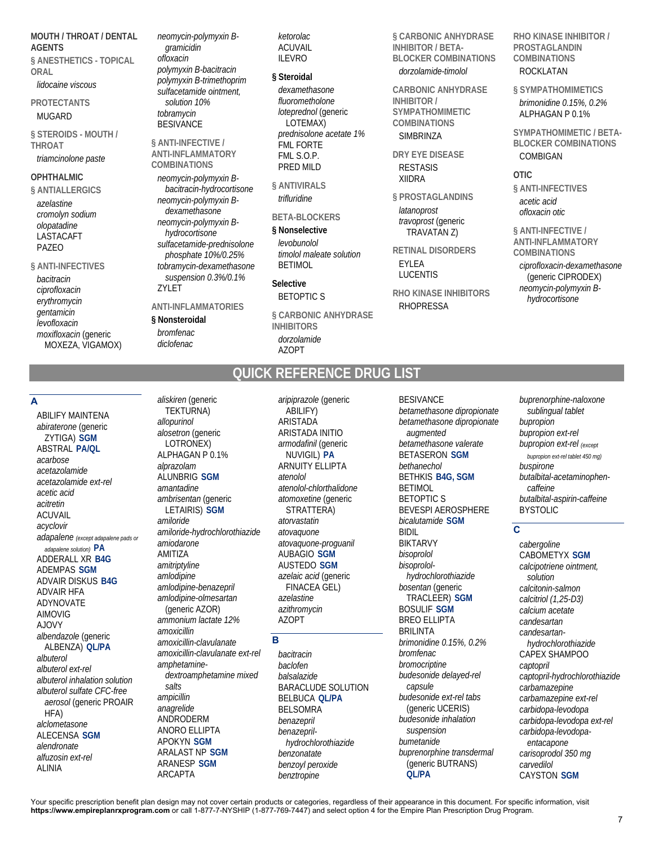**MOUTH / THROAT / DENTAL AGENTS § ANESTHETICS - TOPICAL** 

**ORAL** 

# *lidocaine viscous*

**PROTECTANTS**  MUGARD

**§ STEROIDS - MOUTH / THROAT** 

## *triamcinolone paste*

## **OPHTHALMIC**

**§ ANTIALLERGICS**  *azelastine cromolyn sodium olopatadine* LASTACAFT PAZEO

## **§ ANTI-INFECTIVES**

*bacitracin ciprofloxacin erythromycin gentamicin levofloxacin moxifloxacin* (generic MOXEZA, VIGAMOX) *neomycin-polymyxin Bgramicidin ofloxacin polymyxin B-bacitracin polymyxin B-trimethoprim sulfacetamide ointment, solution 10% tobramycin* **BESIVANCE** 

#### **§ ANTI-INFECTIVE / ANTI-INFLAMMATORY COMBINATIONS**

*neomycin-polymyxin Bbacitracin-hydrocortisone neomycin-polymyxin Bdexamethasone neomycin-polymyxin Bhydrocortisone sulfacetamide-prednisolone phosphate 10%/0.25% tobramycin-dexamethasone suspension 0.3%/0.1%* ZYLET

## **ANTI-INFLAMMATORIES**

#### **§ Nonsteroidal**

*bromfenac diclofenac*

*aliskiren* (generic

*ketorolac* ACUVAIL ILEVRO

#### **§ Steroidal**

*dexamethasone fluorometholone loteprednol* (generic LOTEMAX) *prednisolone acetate 1%* FML FORTE FML S.O.P. PRED MILD

**§ ANTIVIRALS**  *trifluridine*

#### **BETA-BLOCKERS**

#### **§ Nonselective**

*levobunolol timolol maleate solution* BETIMOL

**Selective** 

# BETOPTIC S

**§ CARBONIC ANHYDRASE INHIBITORS**  *dorzolamide* AZOPT

**§ CARBONIC ANHYDRASE INHIBITOR / BETA-BLOCKER COMBINATIONS** 

## *dorzolamide-timolol*

**CARBONIC ANHYDRASE INHIBITOR / SYMPATHOMIMETIC COMBINATIONS SIMBRINZA** 

## **DRY EYE DISEASE**  RESTASIS XIIDRA

**§ PROSTAGLANDINS** 

*latanoprost travoprost* (generic TRAVATAN Z)

**RETINAL DISORDERS**  EYLEA

LUCENTIS

**RHO KINASE INHIBITORS**  RHOPRESSA

#### **RHO KINASE INHIBITOR / PROSTAGLANDIN COMBINATIONS**  ROCKLATAN

**§ SYMPATHOMIMETICS**  *brimonidine 0.15%, 0.2%* ALPHAGAN P 0.1%

**SYMPATHOMIMETIC / BETA-BLOCKER COMBINATIONS**  COMBIGAN

**OTIC** 

**§ ANTI-INFECTIVES**  *acetic acid ofloxacin otic*

**§ ANTI-INFECTIVE / ANTI-INFLAMMATORY COMBINATIONS**  *ciprofloxacin-dexamethasone* (generic CIPRODEX) *neomycin-polymyxin Bhydrocortisone*

# **QUICK REFERENCE DRUG LIST**

## **A**

ABILIFY MAINTENA *abiraterone* (generic ZYTIGA) **SGM** ABSTRAL **PA/QL** *acarbose acetazolamide acetazolamide ext-rel acetic acid acitretin* ACUVAIL *acyclovir adapalene (except adapalene pads or adapalene solution)* **PA** ADDERALL XR **B4G** ADEMPAS **SGM** ADVAIR DISKUS **B4G** ADVAIR HFA ADYNOVATE AIMOVIG AJOVY *albendazole* (generic ALBENZA) **QL/PA** *albuterol albuterol ext-rel albuterol inhalation solution albuterol sulfate CFC-free aerosol* (generic PROAIR HFA) *alclometasone* ALECENSA **SGM** *alendronate alfuzosin ext-rel* ALINIA

TEKTURNA) *allopurinol alosetron* (generic LOTRONEX) ALPHAGAN P 0.1% *alprazolam* ALUNBRIG **SGM** *amantadine ambrisentan* (generic LETAIRIS) **SGM** *amiloride amiloride-hydrochlorothiazide amiodarone* AMITIZA *amitriptyline amlodipine amlodipine-benazepril amlodipine-olmesartan* (generic AZOR) *ammonium lactate 12% amoxicillin amoxicillin-clavulanate amoxicillin-clavulanate ext-rel amphetaminedextroamphetamine mixed salts ampicillin anagrelide* ANDRODERM ANORO ELLIPTA APOKYN **SGM** ARALAST NP **SGM** ARANESP **SGM** ARCAPTA

*aripiprazole* (generic ABILIFY) ARISTADA ARISTADA INITIO *armodafinil* (generic NUVIGIL) **PA** ARNUITY ELLIPTA *atenolol atenolol-chlorthalidone atomoxetine* (generic STRATTERA) *atorvastatin atovaquone atovaquone-proguanil* AUBAGIO **SGM** AUSTEDO **SGM** *azelaic acid* (generic FINACEA GEL) *azelastine azithromycin* AZOPT

## **B**

*bacitracin baclofen balsalazide* BARACLUDE SOLUTION BELBUCA **QL/PA** BELSOMRA *benazepril benazeprilhydrochlorothiazide benzonatate benzoyl peroxide benztropine*

**BESIVANCE** *betamethasone dipropionate betamethasone dipropionate augmented betamethasone valerate* BETASERON **SGM** *bethanechol* BETHKIS **B4G, SGM** BETIMOL BETOPTIC S BEVESPI AEROSPHERE *bicalutamide* **SGM** BIDIL BIKTARVY *bisoprolol bisoprololhydrochlorothiazide bosentan* (generic TRACLEER) **SGM** BOSULIF **SGM** BREO ELLIPTA BRILINTA *brimonidine 0.15%, 0.2% bromfenac bromocriptine budesonide delayed-rel capsule budesonide ext-rel tabs* (generic UCERIS) *budesonide inhalation suspension bumetanide buprenorphine transdermal* (generic BUTRANS) **QL/PA**

*buprenorphine-naloxone sublingual tablet bupropion bupropion ext-rel bupropion ext-rel (except bupropion ext-rel tablet 450 mg) buspirone butalbital-acetaminophencaffeine butalbital-aspirin-caffeine* BYSTOLIC

# **C**

*cabergoline* CABOMETYX **SGM** *calcipotriene ointment, solution calcitonin-salmon calcitriol (1,25-D3) calcium acetate candesartan candesartanhydrochlorothiazide* CAPEX SHAMPOO *captopril captopril-hydrochlorothiazide carbamazepine carbamazepine ext-rel carbidopa-levodopa carbidopa-levodopa ext-rel carbidopa-levodopaentacapone carisoprodol 350 mg carvedilol* CAYSTON **SGM**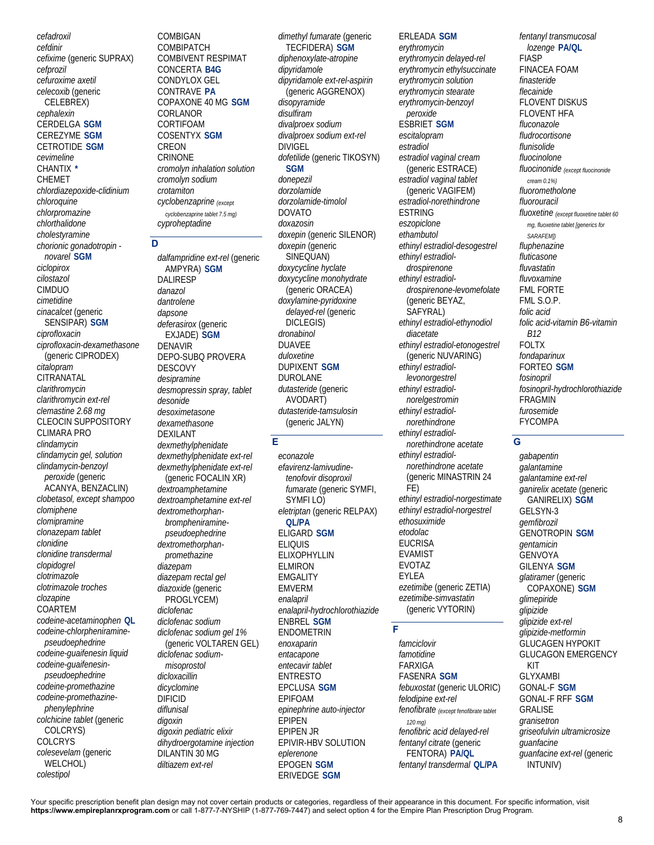*cefadroxil cefdinir cefixime* (generic SUPRAX) *cefprozil cefuroxime axetil celecoxib* (generic CELEBREX) *cephalexin* CERDELGA **SGM** CEREZYME **SGM** CETROTIDE **SGM** *cevimeline* CHANTIX **\*** CHEMET *chlordiazepoxide-clidinium chloroquine chlorpromazine chlorthalidone cholestyramine chorionic gonadotropin novarel* **SGM** *ciclopirox cilostazol* CIMDUO *cimetidine cinacalcet* (generic SENSIPAR) **SGM** *ciprofloxacin ciprofloxacin-dexamethasone* (generic CIPRODEX) *citalopram* CITRANATAL *clarithromycin clarithromycin ext-rel clemastine 2.68 mg* CLEOCIN SUPPOSITORY CLIMARA PRO *clindamycin clindamycin gel, solution clindamycin-benzoyl peroxide* (generic ACANYA, BENZACLIN) *clobetasol, except shampoo clomiphene clomipramine clonazepam tablet clonidine clonidine transdermal clopidogrel clotrimazole clotrimazole troches clozapine* COARTEM *codeine-acetaminophen* **QL** *codeine-chlorpheniraminepseudoephedrine codeine-guaifenesin liquid codeine-guaifenesinpseudoephedrine codeine-promethazine codeine-promethazinephenylephrine colchicine tablet* (generic COLCRYS) COLCRYS *colesevelam* (generic WELCHOL) *colestipol*

COMBIGAN COMBIPATCH COMBIVENT RESPIMAT CONCERTA **B4G** CONDYLOX GEL CONTRAVE **PA** COPAXONE 40 MG **SGM** CORLANOR CORTIFOAM COSENTYX **SGM** CREON CRINONE *cromolyn inhalation solution cromolyn sodium crotamiton cyclobenzaprine (except cyclobenzaprine tablet 7.5 mg) cyproheptadine*

## **D**

*dalfampridine ext-rel* (generic AMPYRA) **SGM** DALIRESP *danazol dantrolene dapsone deferasirox* (generic EXJADE) **SGM** DENAVIR DEPO-SUBQ PROVERA DESCOVY *desipramine desmopressin spray, tablet desonide desoximetasone dexamethasone* DEXILANT *dexmethylphenidate dexmethylphenidate ext-rel dexmethylphenidate ext-rel* (generic FOCALIN XR) *dextroamphetamine dextroamphetamine ext-rel dextromethorphanbrompheniraminepseudoephedrine dextromethorphanpromethazine diazepam diazepam rectal gel diazoxide* (generic PROGLYCEM) *diclofenac diclofenac sodium diclofenac sodium gel 1%* (generic VOLTAREN GEL) *diclofenac sodiummisoprostol dicloxacillin dicyclomine* DIFICID *diflunisal digoxin digoxin pediatric elixir dihydroergotamine injection* DILANTIN 30 MG *diltiazem ext-rel*

*dimethyl fumarate* (generic TECFIDERA) **SGM** *diphenoxylate-atropine dipyridamole dipyridamole ext-rel-aspirin* (generic AGGRENOX) *disopyramide disulfiram divalproex sodium divalproex sodium ext-rel* DIVIGEL *dofetilide* (generic TIKOSYN) **SGM** *donepezil dorzolamide dorzolamide-timolol* **DOVATO** *doxazosin doxepin* (generic SILENOR) *doxepin* (generic SINEQUAN) *doxycycline hyclate doxycycline monohydrate* (generic ORACEA) *doxylamine-pyridoxine delayed-rel* (generic DICLEGIS) *dronabinol* DUAVEE *duloxetine* DUPIXENT **SGM** DUROLANE *dutasteride* (generic AVODART) *dutasteride-tamsulosin* (generic JALYN)

# **E**

*econazole efavirenz-lamivudinetenofovir disoproxil fumarate* (generic SYMFI, SYMFI LO) *eletriptan* (generic RELPAX) **QL/PA** ELIGARD **SGM** ELIQUIS ELIXOPHYLLIN ELMIRON EMGALITY EMVERM *enalapril enalapril-hydrochlorothiazide* ENBREL **SGM** ENDOMETRIN *enoxaparin entacapone entecavir tablet* ENTRESTO EPCLUSA **SGM** EPIFOAM *epinephrine auto-injector* EPIPEN EPIPEN JR EPIVIR-HBV SOLUTION *eplerenone* EPOGEN **SGM** ERIVEDGE **SGM**

*erythromycin erythromycin delayed-rel erythromycin ethylsuccinate erythromycin solution erythromycin stearate erythromycin-benzoyl peroxide* ESBRIET **SGM** *escitalopram estradiol estradiol vaginal cream* (generic ESTRACE) *estradiol vaginal tablet* (generic VAGIFEM) *estradiol-norethindrone* ESTRING *eszopiclone ethambutol ethinyl estradiol-desogestrel ethinyl estradioldrospirenone ethinyl estradioldrospirenone-levomefolate* (generic BEYAZ, SAFYRAL) *ethinyl estradiol-ethynodiol diacetate ethinyl estradiol-etonogestrel* (generic NUVARING) *ethinyl estradiollevonorgestrel ethinyl estradiolnorelgestromin ethinyl estradiolnorethindrone ethinyl estradiolnorethindrone acetate ethinyl estradiolnorethindrone acetate* (generic MINASTRIN 24 FE) *ethinyl estradiol-norgestimate ethinyl estradiol-norgestrel ethosuximide etodolac* **EUCRISA** EVAMIST EVOTAZ EYLEA *ezetimibe* (generic ZETIA) *ezetimibe-simvastatin* (generic VYTORIN)

ERLEADA **SGM**

## **F**

*famciclovir famotidine* FARXIGA FASENRA **SGM** *febuxostat* (generic ULORIC) *felodipine ext-rel fenofibrate (except fenofibrate tablet 120 mg) fenofibric acid delayed-rel fentanyl citrate* (generic FENTORA) **PA/QL** *fentanyl transdermal* **QL/PA**

*fentanyl transmucosal lozenge* **PA/QL** FIASP FINACEA FOAM *finasteride flecainide* FLOVENT DISKUS FLOVENT HFA *fluconazole fludrocortisone flunisolide fluocinolone fluocinonide (except fluocinonide cream 0.1%) fluorometholone fluorouracil fluoxetine (except fluoxetine tablet 60 mg, fluoxetine tablet [generics for SARAFEM]) fluphenazine fluticasone fluvastatin fluvoxamine* FML FORTE FML S.O.P. *folic acid folic acid-vitamin B6-vitamin B12* FOLTX *fondaparinux* FORTEO **SGM** *fosinopril fosinopril-hydrochlorothiazide* FRAGMIN *furosemide* FYCOMPA

## **G**

*gabapentin galantamine galantamine ext-rel ganirelix acetate* (generic GANIRELIX) **SGM** GELSYN-3 *gemfibrozil* GENOTROPIN **SGM** *gentamicin* GENVOYA GILENYA **SGM** *glatiramer* (generic COPAXONE) **SGM** *glimepiride glipizide glipizide ext-rel glipizide-metformin* GLUCAGEN HYPOKIT GLUCAGON EMERGENCY KIT GLYXAMBI GONAL-F **SGM** GONAL-F RFF **SGM** GRALISE *granisetron griseofulvin ultramicrosize guanfacine guanfacine ext-rel* (generic INTUNIV)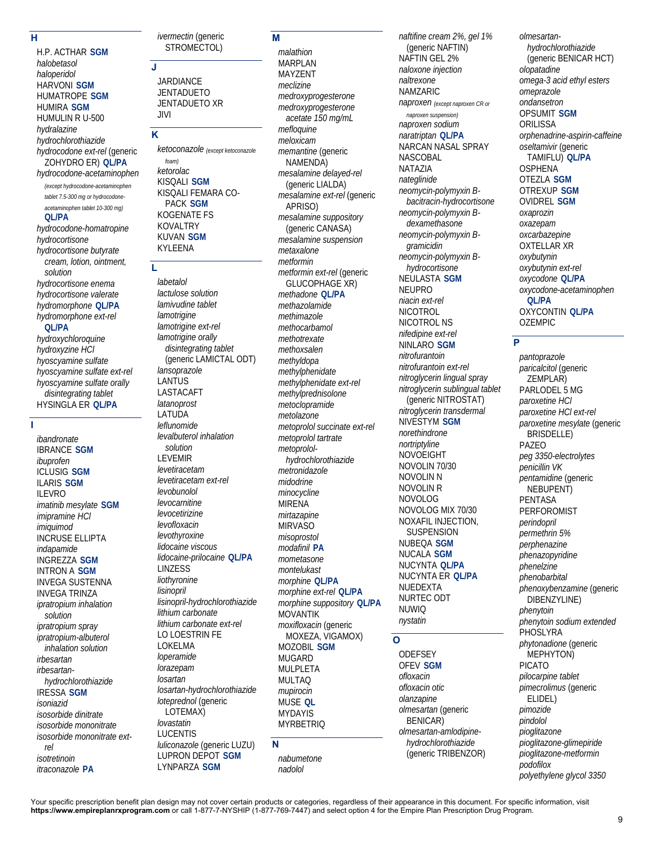## **H**

H.P. ACTHAR **SGM** *halobetasol*

*haloperidol* HARVONI **SGM** HUMATROPE **SGM** HUMIRA **SGM** HUMULIN R U-500 *hydralazine hydrochlorothiazide hydrocodone ext-rel* (generic ZOHYDRO ER) **QL/PA** *hydrocodone-acetaminophen (except hydrocodone-acetaminophen tablet 7.5-300 mg or hydrocodoneacetaminophen tablet 10-300 mg)* **QL/PA** *hydrocodone-homatropine hydrocortisone hydrocortisone butyrate cream, lotion, ointment, solution hydrocortisone enema hydrocortisone valerate hydromorphone* **QL/PA** *hydromorphone ext-rel* **QL/PA** *hydroxychloroquine hydroxyzine HCl hyoscyamine sulfate hyoscyamine sulfate ext-rel hyoscyamine sulfate orally disintegrating tablet* HYSINGLA ER **QL/PA**

**I** 

*ibandronate* IBRANCE **SGM** *ibuprofen* ICLUSIG **SGM** ILARIS **SGM** ILEVRO *imatinib mesylate* **SGM** *imipramine HCl imiquimod* INCRUSE ELLIPTA *indapamide* INGREZZA **SGM** INTRON A **SGM** INVEGA SUSTENNA INVEGA TRINZA *ipratropium inhalation solution ipratropium spray ipratropium-albuterol inhalation solution irbesartan irbesartanhydrochlorothiazide* IRESSA **SGM** *isoniazid isosorbide dinitrate isosorbide mononitrate isosorbide mononitrate extrel isotretinoin itraconazole* **PA**

*ivermectin* (generic STROMECTOL)

JARDIANCE **JENTADUETO** JENTADUETO XR JIVI

## **K**

**J** 

*ketoconazole (except ketoconazole foam) ketorolac* KISQALI **SGM** KISQALI FEMARA CO-PACK **SGM** KOGENATE FS KOVALTRY KUVAN **SGM** KYLEENA

#### **L**

*labetalol lactulose solution lamivudine tablet lamotrigine lamotrigine ext-rel lamotrigine orally disintegrating tablet* (generic LAMICTAL ODT) *lansoprazole* LANTUS LASTACAFT *latanoprost* LATUDA *leflunomide levalbuterol inhalation solution* LEVEMIR *levetiracetam levetiracetam ext-rel levobunolol levocarnitine levocetirizine levofloxacin levothyroxine lidocaine viscous lidocaine-prilocaine* **QL/PA** LINZESS *liothyronine lisinopril lisinopril-hydrochlorothiazide lithium carbonate lithium carbonate ext-rel* LO LOESTRIN FE LOKELMA *loperamide lorazepam losartan losartan-hydrochlorothiazide loteprednol* (generic LOTEMAX) *lovastatin* LUCENTIS *luliconazole* (generic LUZU) LUPRON DEPOT **SGM** LYNPARZA **SGM**

## **M**

*malathion* **MARPI AN** MAYZENT *meclizine medroxyprogesterone medroxyprogesterone acetate 150 mg/mL mefloquine meloxicam memantine* (generic NAMENDA) *mesalamine delayed-rel* (generic LIALDA) *mesalamine ext-rel* (generic APRISO) *mesalamine suppository* (generic CANASA) *mesalamine suspension metaxalone metformin metformin ext-rel* (generic GLUCOPHAGE XR) *methadone* **QL/PA** *methazolamide methimazole methocarbamol methotrexate methoxsalen methyldopa methylphenidate methylphenidate ext-rel methylprednisolone metoclopramide metolazone metoprolol succinate ext-rel metoprolol tartrate metoprololhydrochlorothiazide metronidazole midodrine minocycline* MIRENA *mirtazapine* MIRVASO *misoprostol modafinil* **PA** *mometasone montelukast morphine* **QL/PA** *morphine ext-rel* **QL/PA** *morphine suppository* **QL/PA** MOVANTIK *moxifloxacin* (generic MOXEZA, VIGAMOX) MOZOBIL **SGM** MUGARD MULPLETA MULTAQ *mupirocin* MUSE **QL** MYDAYIS MYRBETRIQ

# **N**

*nabumetone nadolol*

*naftifine cream 2%, gel 1%* (generic NAFTIN) NAFTIN GEL 2% *naloxone injection naltrexone* NAMZARIC *naproxen (except naproxen CR or naproxen suspension) naproxen sodium naratriptan* **QL/PA** NARCAN NASAL SPRAY NASCOBAL NATAZIA *nateglinide neomycin-polymyxin Bbacitracin-hydrocortisone neomycin-polymyxin Bdexamethasone neomycin-polymyxin Bgramicidin neomycin-polymyxin Bhydrocortisone* NEULASTA **SGM** NEUPRO *niacin ext-rel* NICOTROL NICOTROL NS *nifedipine ext-rel* NINLARO **SGM** *nitrofurantoin nitrofurantoin ext-rel nitroglycerin lingual spray nitroglycerin sublingual tablet* (generic NITROSTAT) *nitroglycerin transdermal* NIVESTYM **SGM** *norethindrone nortriptyline* NOVOEIGHT NOVOLIN 70/30 NOVOLIN N NOVOLIN R NOVOLOG NOVOLOG MIX 70/30 NOXAFIL INJECTION, **SUSPENSION** NUBEQA **SGM** NUCALA **SGM** NUCYNTA **QL/PA** NUCYNTA ER **QL/PA** NUEDEXTA NURTEC ODT NUWIQ *nystatin*

## **O**

**ODEFSEY** OFEV **SGM** *ofloxacin ofloxacin otic olanzapine olmesartan* (generic BENICAR) *olmesartan-amlodipinehydrochlorothiazide* (generic TRIBENZOR)

*olmesartanhydrochlorothiazide* (generic BENICAR HCT) *olopatadine omega-3 acid ethyl esters omeprazole ondansetron* OPSUMIT **SGM ORILISSA** *orphenadrine-aspirin-caffeine oseltamivir* (generic TAMIFLU) **QL/PA OSPHENA** OTEZLA **SGM** OTREXUP **SGM** OVIDREL **SGM** *oxaprozin oxazepam oxcarbazepine* OXTELLAR XR *oxybutynin oxybutynin ext-rel oxycodone* **QL/PA** *oxycodone-acetaminophen* **QL/PA** OXYCONTIN **QL/PA** OZEMPIC

## **P**

*pantoprazole paricalcitol* (generic ZEMPLAR) PARLODEL 5 MG *paroxetine HCl paroxetine HCl ext-rel paroxetine mesylate* (generic BRISDELLE) PAZEO *peg 3350-electrolytes penicillin VK pentamidine* (generic NEBUPENT) PENTASA PERFOROMIST *perindopril permethrin 5% perphenazine phenazopyridine phenelzine phenobarbital phenoxybenzamine* (generic DIBENZYLINE) *phenytoin phenytoin sodium extended* PHOSLYRA *phytonadione* (generic MEPHYTON) PICATO *pilocarpine tablet pimecrolimus* (generic ELIDEL) *pimozide pindolol pioglitazone pioglitazone-glimepiride pioglitazone-metformin podofilox polyethylene glycol 3350*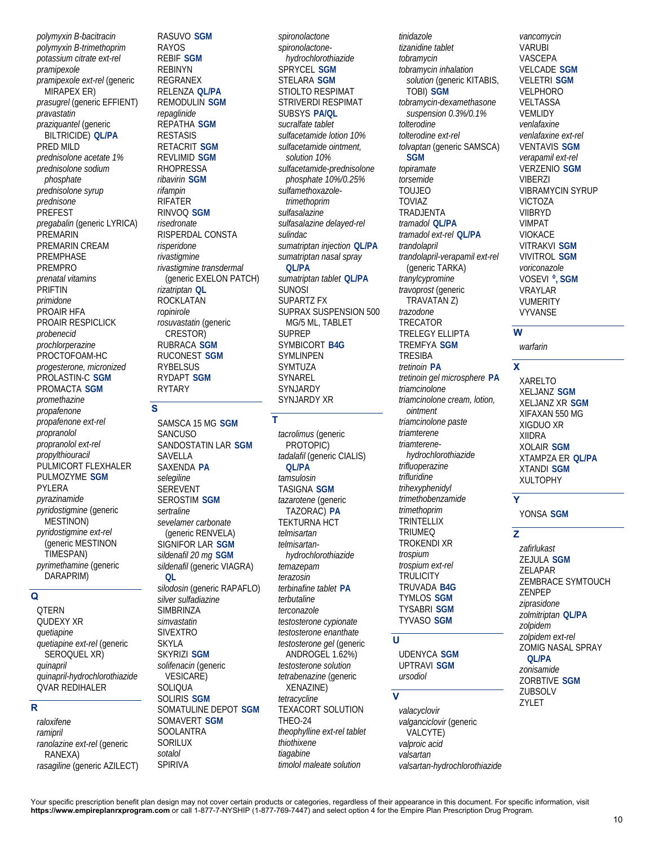*polymyxin B-bacitracin polymyxin B-trimethoprim potassium citrate ext-rel pramipexole pramipexole ext-rel* (generic MIRAPEX ER) *prasugrel* (generic EFFIENT) *pravastatin praziquantel* (generic BILTRICIDE) **QL/PA** PRED MILD *prednisolone acetate 1% prednisolone sodium phosphate prednisolone syrup prednisone* PREFEST *pregabalin* (generic LYRICA) PREMARIN PREMARIN CREAM PREMPHASE PREMPRO *prenatal vitamins* PRIFTIN *primidone* PROAIR HFA PROAIR RESPICLICK *probenecid prochlorperazine* PROCTOFOAM-HC *progesterone, micronized* PROLASTIN-C **SGM** PROMACTA **SGM** *promethazine propafenone propafenone ext-rel propranolol propranolol ext-rel propylthiouracil* PULMICORT FLEXHALER PULMOZYME **SGM** PYLERA *pyrazinamide pyridostigmine* (generic MESTINON) *pyridostigmine ext-rel* (generic MESTINON TIMESPAN) *pyrimethamine* (generic DARAPRIM)

## **Q**

QTERN QUDEXY XR *quetiapine quetiapine ext-rel* (generic SEROQUEL XR) *quinapril quinapril-hydrochlorothiazide* QVAR REDIHALER

# $\overline{\mathbf{R}}$

*raloxifene ramipril ranolazine ext-rel* (generic RANEXA) *rasagiline* (generic AZILECT) RASUVO **SGM** RAYOS REBIF **SGM** REBINYN REGRANEX RELENZA **QL/PA** REMODULIN **SGM** *repaglinide* REPATHA **SGM** RESTASIS RETACRIT **SGM** REVLIMID **SGM** RHOPRESSA *ribavirin* **SGM** *rifampin* RIFATER RINVOQ **SGM** *risedronate* RISPERDAL CONSTA *risperidone rivastigmine rivastigmine transdermal* (generic EXELON PATCH) *rizatriptan* **QL** ROCKLATAN *ropinirole rosuvastatin* (generic CRESTOR) RUBRACA **SGM** RUCONEST **SGM** RYBELSUS RYDAPT **SGM** RYTARY

# **S**

SAMSCA 15 MG **SGM SANCUSO** SANDOSTATIN LAR **SGM** SAVELLA SAXENDA **PA** *selegiline* SEREVENT SEROSTIM **SGM** *sertraline sevelamer carbonate* (generic RENVELA) SIGNIFOR LAR **SGM** *sildenafil 20 mg* **SGM** *sildenafil* (generic VIAGRA) **QL** *silodosin* (generic RAPAFLO) *silver sulfadiazine* **SIMBRINZA** *simvastatin* SIVEXTRO SKYLA SKYRIZI **SGM** *solifenacin* (generic VESICARE) SOLIQUA SOLIRIS **SGM** SOMATULINE DEPOT **SGM** SOMAVERT **SGM** SOOLANTRA SORILUX

*sotalol* SPIRIVA

*spironolactone spironolactonehydrochlorothiazide* SPRYCEL **SGM** STELARA **SGM** STIOLTO RESPIMAT STRIVERDI RESPIMAT SUBSYS **PA/QL** *sucralfate tablet sulfacetamide lotion 10% sulfacetamide ointment, solution 10% sulfacetamide-prednisolone phosphate 10%/0.25% sulfamethoxazoletrimethoprim sulfasalazine sulfasalazine delayed-rel sulindac sumatriptan injection* **QL/PA** *sumatriptan nasal spray* **QL/PA** *sumatriptan tablet* **QL/PA** SUNOSI SUPARTZ FX SUPRAX SUSPENSION 500 MG/5 ML, TABLET SUPREP SYMBICORT **B4G SYMLINPEN** SYMTUZA SYNAREL SYNJARDY SYNJARDY XR **T** 

*tacrolimus* (generic PROTOPIC) *tadalafil* (generic CIALIS) **QL/PA** *tamsulosin* TASIGNA **SGM** *tazarotene* (generic TAZORAC) **PA** TEKTURNA HCT *telmisartan telmisartanhydrochlorothiazide temazepam terazosin terbinafine tablet* **PA** *terbutaline terconazole testosterone cypionate testosterone enanthate testosterone gel* (generic ANDROGEL 1.62%) *testosterone solution tetrabenazine* (generic XENAZINE) *tetracycline* TEXACORT SOLUTION THEO-24 *theophylline ext-rel tablet thiothixene tiagabine timolol maleate solution*

*tinidazole tizanidine tablet tobramycin tobramycin inhalation solution* (generic KITABIS, TOBI) **SGM** *tobramycin-dexamethasone suspension 0.3%/0.1% tolterodine tolterodine ext-rel tolvaptan* (generic SAMSCA) **SGM** *topiramate torsemide* TOUJEO TOVIAZ TRADJENTA *tramadol* **QL/PA** *tramadol ext-rel* **QL/PA** *trandolapril trandolapril-verapamil ext-rel* (generic TARKA) *tranylcypromine travoprost* (generic TRAVATAN Z) *trazodone* TRECATOR TRELEGY ELLIPTA TREMFYA **SGM** TRESIBA *tretinoin* **PA** *tretinoin gel microsphere* **PA** *triamcinolone triamcinolone cream, lotion, ointment triamcinolone paste triamterene triamterenehydrochlorothiazide trifluoperazine trifluridine trihexyphenidyl trimethobenzamide trimethoprim* TRINTELLIX TRIUMEQ TROKENDI XR *trospium trospium ext-rel* **TRULICITY** TRUVADA **B4G** TYMLOS **SGM** TYSABRI **SGM** TYVASO **SGM**

## **U**

UDENYCA **SGM** UPTRAVI **SGM** *ursodiol*

## $\overline{\mathbf{v}}$

*valacyclovir valganciclovir* (generic VALCYTE) *valproic acid valsartan valsartan-hydrochlorothiazide* *vancomycin* VARUBI VASCEPA VELCADE **SGM** VELETRI **SGM** VELPHORO VELTASSA VEMLIDY *venlafaxine venlafaxine ext-rel* VENTAVIS **SGM** *verapamil ext-rel* VERZENIO **SGM** VIBERZI VIBRAMYCIN SYRUP VICTOZA VIIBRYD VIMPAT VIOKACE VITRAKVI **SGM** VIVITROL **SGM** *voriconazole* VOSEVI **◊, SGM** VRAYLAR VUMERITY VYVANSE

## **W**

*warfarin*

## **X**

XARELTO XELJANZ **SGM** XELJANZ XR **SGM** XIFAXAN 550 MG XIGDUO XR XIIDRA XOLAIR **SGM** XTAMPZA ER **QL/PA** XTANDI **SGM** XULTOPHY

# **Y**

YONSA **SGM**

# **Z**

ZYLET

*zafirlukast* ZEJULA **SGM** ZELAPAR ZEMBRACE SYMTOUCH ZENPEP *ziprasidone zolmitriptan* **QL/PA** *zolpidem zolpidem ext-rel* ZOMIG NASAL SPRAY **QL/PA** *zonisamide* ZORBTIVE **SGM** ZUBSOLV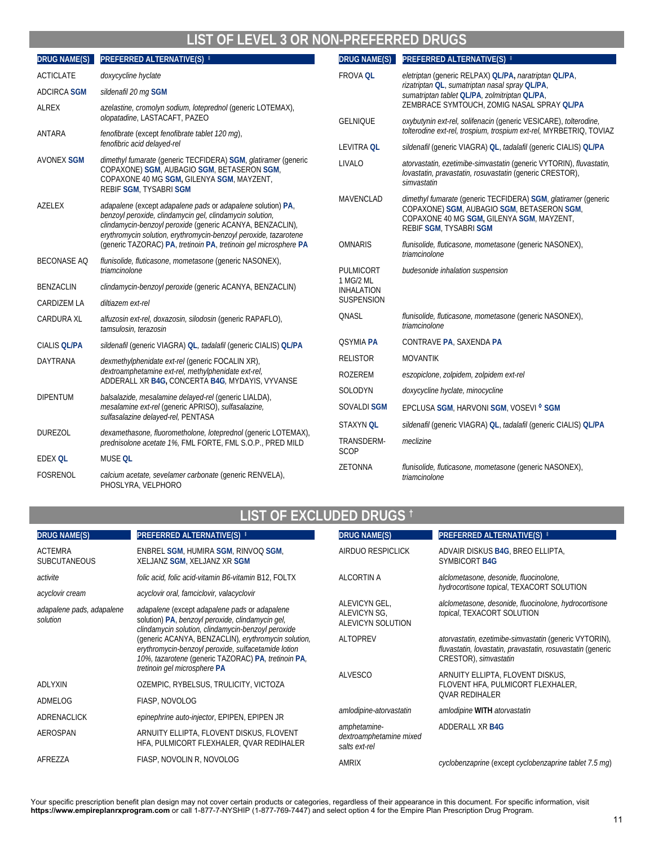# **LIST OF LEVEL 3 OR NON-PREFERRED DRUGS**

| <b>DRUG NAME(S)</b> | PREFERRED ALTERNATIVE(S) <sup>#</sup>                                                                                                                                                                                                                    | DRUG NAME(S)                   | PREFERRED ALTERNATIVE(S) <sup>‡</sup>                                                                                                                                               |
|---------------------|----------------------------------------------------------------------------------------------------------------------------------------------------------------------------------------------------------------------------------------------------------|--------------------------------|-------------------------------------------------------------------------------------------------------------------------------------------------------------------------------------|
| <b>ACTICLATE</b>    | doxycycline hyclate                                                                                                                                                                                                                                      | <b>FROVA QL</b>                | eletriptan (generic RELPAX) QL/PA, naratriptan QL/PA,                                                                                                                               |
| <b>ADCIRCA SGM</b>  | sildenafil 20 mg SGM                                                                                                                                                                                                                                     |                                | rizatriptan QL, sumatriptan nasal spray QL/PA,<br>sumatriptan tablet QLIPA, zolmitriptan QLIPA,                                                                                     |
| <b>ALREX</b>        | azelastine, cromolyn sodium, loteprednol (generic LOTEMAX),                                                                                                                                                                                              |                                | ZEMBRACE SYMTOUCH, ZOMIG NASAL SPRAY QL/PA                                                                                                                                          |
|                     | olopatadine, LASTACAFT, PAZEO                                                                                                                                                                                                                            | <b>GELNIQUE</b>                | oxybutynin ext-rel, solifenacin (generic VESICARE), tolterodine,<br>tolterodine ext-rel, trospium, trospium ext-rel, MYRBETRIQ, TOVIAZ                                              |
| <b>ANTARA</b>       | fenofibrate (except fenofibrate tablet 120 mq),<br>fenofibric acid delayed-rel                                                                                                                                                                           | <b>LEVITRA QL</b>              | sildenafil (generic VIAGRA) QL, tadalafil (generic CIALIS) QL/PA                                                                                                                    |
| <b>AVONEX SGM</b>   | dimethyl fumarate (generic TECFIDERA) SGM, glatiramer (generic                                                                                                                                                                                           | LIVALO                         | atorvastatin, ezetimibe-simvastatin (generic VYTORIN), fluvastatin,                                                                                                                 |
|                     | COPAXONE) SGM, AUBAGIO SGM, BETASERON SGM,<br>COPAXONE 40 MG SGM, GILENYA SGM, MAYZENT,<br><b>REBIF SGM, TYSABRI SGM</b>                                                                                                                                 |                                | lovastatin, pravastatin, rosuvastatin (generic CRESTOR),<br>simvastatin                                                                                                             |
| <b>AZELEX</b>       | adapalene (except adapalene pads or adapalene solution) PA,<br>benzoyl peroxide, clindamycin gel, clindamycin solution,<br>clindamycin-benzoyl peroxide (generic ACANYA, BENZACLIN),<br>erythromycin solution, erythromycin-benzoyl peroxide, tazarotene | <b>MAVENCLAD</b>               | dimethyl fumarate (generic TECFIDERA) SGM, glatiramer (generic<br>COPAXONE) SGM, AUBAGIO SGM, BETASERON SGM,<br>COPAXONE 40 MG SGM, GILENYA SGM, MAYZENT,<br>REBIF SGM, TYSABRI SGM |
|                     | (generic TAZORAC) PA, tretinoin PA, tretinoin gel microsphere PA                                                                                                                                                                                         | <b>OMNARIS</b>                 | flunisolide, fluticasone, mometasone (generic NASONEX),                                                                                                                             |
| <b>BECONASE AQ</b>  | flunisolide, fluticasone, mometasone (generic NASONEX),<br>triamcinolone                                                                                                                                                                                 | PULMICORT                      | triamcinolone<br>budesonide inhalation suspension                                                                                                                                   |
| <b>BENZACLIN</b>    | clindamycin-benzoyl peroxide (generic ACANYA, BENZACLIN)                                                                                                                                                                                                 | 1 MG/2 ML<br><b>INHALATION</b> |                                                                                                                                                                                     |
| CARDIZEM LA         | diltiazem ext-rel                                                                                                                                                                                                                                        | SUSPENSION                     |                                                                                                                                                                                     |
| <b>CARDURA XL</b>   | alfuzosin ext-rel, doxazosin, silodosin (generic RAPAFLO),<br>tamsulosin, terazosin                                                                                                                                                                      | QNASL                          | flunisolide, fluticasone, mometasone (generic NASONEX),<br>triamcinolone                                                                                                            |
| <b>CIALIS QL/PA</b> | sildenafil (generic VIAGRA) QL, tadalafil (generic CIALIS) QL/PA                                                                                                                                                                                         | <b>QSYMIA PA</b>               | CONTRAVE PA, SAXENDA PA                                                                                                                                                             |
| DAYTRANA            | dexmethylphenidate ext-rel (generic FOCALIN XR),                                                                                                                                                                                                         | <b>RELISTOR</b>                | <b>MOVANTIK</b>                                                                                                                                                                     |
|                     | dextroamphetamine ext-rel, methylphenidate ext-rel,<br>ADDERALL XR B4G, CONCERTA B4G, MYDAYIS, VYVANSE                                                                                                                                                   | ROZEREM                        | eszopiclone, zolpidem, zolpidem ext-rel                                                                                                                                             |
| <b>DIPENTUM</b>     | balsalazide, mesalamine delayed-rel (generic LIALDA),                                                                                                                                                                                                    | SOLODYN                        | doxycycline hyclate, minocycline                                                                                                                                                    |
|                     | mesalamine ext-rel (generic APRISO), sulfasalazine,                                                                                                                                                                                                      | <b>SOVALDI SGM</b>             | EPCLUSA SGM, HARVONI SGM, VOSEVI <sup>O</sup> SGM                                                                                                                                   |
|                     | sulfasalazine delayed-rel, PENTASA                                                                                                                                                                                                                       | <b>STAXYN OL</b>               | sildenafil (generic VIAGRA) QL, tadalafil (generic CIALIS) QL/PA                                                                                                                    |
| <b>DUREZOL</b>      | dexamethasone, fluorometholone, loteprednol (generic LOTEMAX),<br>prednisolone acetate 1%, FML FORTE, FML S.O.P., PRED MILD                                                                                                                              | TRANSDERM-<br>SCOP             | meclizine                                                                                                                                                                           |
| <b>EDEX QL</b>      | MUSE QL                                                                                                                                                                                                                                                  | ZETONNA                        | flunisolide, fluticasone, mometasone (generic NASONEX),                                                                                                                             |
| <b>FOSRENOL</b>     | calcium acetate, sevelamer carbonate (generic RENVELA),<br>PHOSLYRA, VELPHORO                                                                                                                                                                            |                                | triamcinolone                                                                                                                                                                       |

# **LIST OF EXCLUDED DRUGS †**

| <b>DRUG NAME(S)</b>                   | PREFERRED ALTERNATIVE(S) #                                                                                                                                        | <b>DRUG NAME(S)</b>                                       | <b>PREFERRED ALTERNATIVE(S) #</b>                                                                                                              |
|---------------------------------------|-------------------------------------------------------------------------------------------------------------------------------------------------------------------|-----------------------------------------------------------|------------------------------------------------------------------------------------------------------------------------------------------------|
| <b>ACTEMRA</b><br><b>SUBCUTANEOUS</b> | ENBREL SGM, HUMIRA SGM, RINVOQ SGM,<br>XELJANZ SGM, XELJANZ XR SGM                                                                                                | AIRDUO RESPICLICK                                         | ADVAIR DISKUS B4G, BREO ELLIPTA,<br><b>SYMBICORT B4G</b>                                                                                       |
| activite                              | folic acid, folic acid-vitamin B6-vitamin B12, FOLTX                                                                                                              | ALCORTIN A                                                | alclometasone, desonide, fluocinolone,<br>hydrocortisone topical, TEXACORT SOLUTION                                                            |
| acyclovir cream                       | acyclovir oral, famciclovir, valacyclovir                                                                                                                         |                                                           |                                                                                                                                                |
| adapalene pads, adapalene<br>solution | adapalene (except adapalene pads or adapalene<br>solution) PA, benzoyl peroxide, clindamycin gel,<br>clindamycin solution, clindamycin-benzoyl peroxide           | ALEVICYN GEL,<br><b>ALEVICYN SG.</b><br>ALEVICYN SOLUTION | alclometasone, desonide, fluocinolone, hydrocortisone<br>topical, TEXACORT SOLUTION                                                            |
|                                       | (generic ACANYA, BENZACLIN), erythromycin solution,<br>erythromycin-benzoyl peroxide, sulfacetamide lotion<br>10%, tazarotene (generic TAZORAC) PA, tretinoin PA, | <b>ALTOPREV</b>                                           | atorvastatin, ezetimibe-simvastatin (generic VYTORIN),<br>fluvastatin, lovastatin, pravastatin, rosuvastatin (generic<br>CRESTOR), simvastatin |
|                                       | tretinoin gel microsphere PA                                                                                                                                      | <b>ALVESCO</b>                                            | ARNUITY ELLIPTA, FLOVENT DISKUS,                                                                                                               |
| <b>ADLYXIN</b>                        | OZEMPIC, RYBELSUS, TRULICITY, VICTOZA                                                                                                                             |                                                           | FLOVENT HFA, PULMICORT FLEXHALER,                                                                                                              |
| ADMELOG                               | FIASP, NOVOLOG                                                                                                                                                    |                                                           | <b>QVAR REDIHALER</b>                                                                                                                          |
| <b>ADRENACLICK</b>                    | epinephrine auto-injector, EPIPEN, EPIPEN JR                                                                                                                      | amlodipine-atorvastatin                                   | amlodipine WITH atorvastatin                                                                                                                   |
| AEROSPAN                              | ARNUITY ELLIPTA, FLOVENT DISKUS, FLOVENT<br>HFA, PULMICORT FLEXHALER, QVAR REDIHALER                                                                              | amphetamine-<br>dextroamphetamine mixed<br>salts ext-rel  | ADDERALL XR B4G                                                                                                                                |
| AFREZZA                               | FIASP, NOVOLIN R, NOVOLOG                                                                                                                                         | <b>AMRIX</b>                                              | cyclobenzaprine (except cyclobenzaprine tablet 7.5 mg)                                                                                         |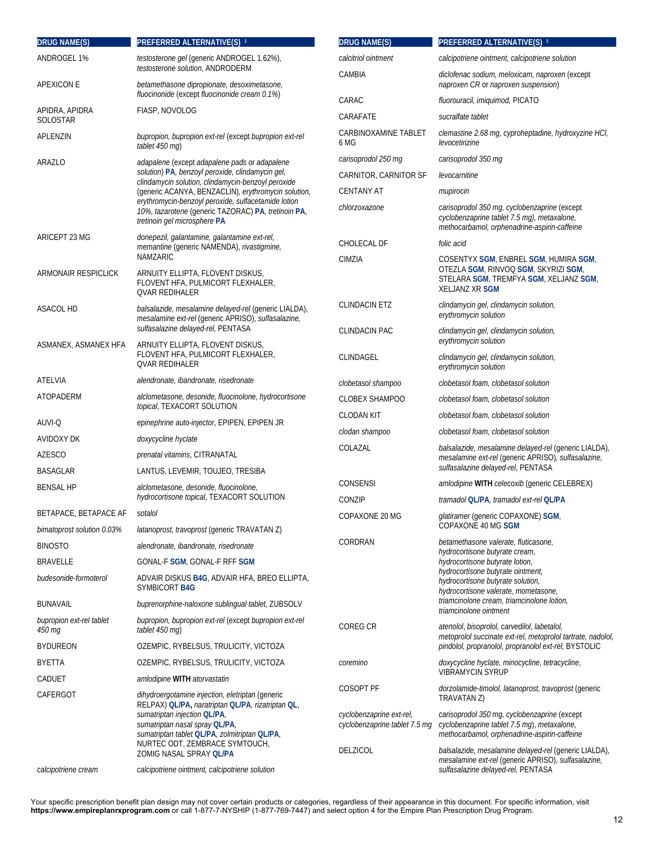| <b>DRUG NAME(S)</b>                | PREFERRED ALTERNATIVE(S) <sup>#</sup>                                                                                                      | <b>DRUG NAME(S)</b>                   | PREFERRED ALTERNATIVE(S) #                                                                                                                                |
|------------------------------------|--------------------------------------------------------------------------------------------------------------------------------------------|---------------------------------------|-----------------------------------------------------------------------------------------------------------------------------------------------------------|
| ANDROGEL 1%                        | testosterone gel (generic ANDROGEL 1.62%),                                                                                                 | calcitriol ointment                   | calcipotriene ointment, calcipotriene solution                                                                                                            |
| APEXICON E                         | testosterone solution, ANDRODERM<br>betamethasone dipropionate, desoximetasone,<br>fluocinonide (except fluocinonide cream 0.1%)           | CAMBIA                                | diclofenac sodium, meloxicam, naproxen (except<br>naproxen CR or naproxen suspension)                                                                     |
|                                    |                                                                                                                                            | CARAC                                 | fluorouracil, imiquimod, PICATO                                                                                                                           |
| APIDRA, APIDRA<br>SOLOSTAR         | FIASP, NOVOLOG                                                                                                                             | CARAFATE                              | sucralfate tablet                                                                                                                                         |
| APLENZIN                           | bupropion, bupropion ext-rel (except bupropion ext-rel<br>tablet 450 mg)                                                                   | CARBINOXAMINE TABLET<br>6 MG          | clemastine 2.68 mg, cyproheptadine, hydroxyzine HCI,<br>levocetirizine                                                                                    |
| ARAZLO                             | adapalene (except adapalene pads or adapalene                                                                                              | carisoprodol 250 mg                   | carisoprodol 350 mg                                                                                                                                       |
|                                    | solution) PA, benzoyl peroxide, clindamycin gel,<br>clindamycin solution, clindamycin-benzoyl peroxide                                     | CARNITOR, CARNITOR SF                 | levocarnitine                                                                                                                                             |
|                                    | (generic ACANYA, BENZACLIN), erythromycin solution,                                                                                        | <b>CENTANY AT</b>                     | mupirocin                                                                                                                                                 |
|                                    | erythromycin-benzoyl peroxide, sulfacetamide lotion<br>10%, tazarotene (generic TAZORAC) PA, tretinoin PA,<br>tretinoin gel microsphere PA | chlorzoxazone                         | carisoprodol 350 mg, cyclobenzaprine (except<br>cyclobenzaprine tablet 7.5 mg), metaxalone,<br>methocarbamol, orphenadrine-aspirin-caffeine               |
| ARICEPT 23 MG                      | donepezil, galantamine, galantamine ext-rel,<br>memantine (generic NAMENDA), rivastigmine,                                                 | CHOLECAL DF                           | folic acid                                                                                                                                                |
|                                    | <b>NAMZARIC</b>                                                                                                                            | CIMZIA                                | COSENTYX SGM, ENBREL SGM, HUMIRA SGM,                                                                                                                     |
| ARMONAIR RESPICLICK                | ARNUITY ELLIPTA, FLOVENT DISKUS,<br>FLOVENT HFA, PULMICORT FLEXHALER,<br><b>QVAR REDIHALER</b>                                             |                                       | OTEZLA SGM, RINVOQ SGM, SKYRIZI SGM,<br>STELARA SGM, TREMFYA SGM, XELJANZ SGM,<br><b>XELJANZ XR SGM</b>                                                   |
| ASACOL HD                          | balsalazide, mesalamine delayed-rel (generic LIALDA),<br>mesalamine ext-rel (generic APRISO), sulfasalazine,                               | <b>CLINDACIN ETZ</b>                  | clindamycin gel, clindamycin solution,<br>erythromycin solution                                                                                           |
| ASMANEX, ASMANEX HFA               | sulfasalazine delayed-rel, PENTASA<br>ARNUITY ELLIPTA, FLOVENT DISKUS,                                                                     | <b>CLINDACIN PAC</b>                  | clindamycin gel, clindamycin solution,<br>erythromycin solution                                                                                           |
|                                    | FLOVENT HFA, PULMICORT FLEXHALER,<br><b>QVAR REDIHALER</b>                                                                                 | CLINDAGEL                             | clindamycin gel, clindamycin solution,<br>erythromycin solution                                                                                           |
| ATELVIA                            | alendronate, ibandronate, risedronate                                                                                                      | clobetasol shampoo                    | clobetasol foam, clobetasol solution                                                                                                                      |
| ATOPADERM                          | alclometasone, desonide, fluocinolone, hydrocortisone                                                                                      | <b>CLOBEX SHAMPOO</b>                 | clobetasol foam, clobetasol solution                                                                                                                      |
|                                    | topical, TEXACORT SOLUTION                                                                                                                 | <b>CLODAN KIT</b>                     | clobetasol foam, clobetasol solution                                                                                                                      |
| AUVI-Q                             | epinephrine auto-injector, EPIPEN, EPIPEN JR                                                                                               | clodan shampoo                        | clobetasol foam, clobetasol solution                                                                                                                      |
| AVIDOXY DK                         | doxycycline hyclate                                                                                                                        | COLAZAL                               | balsalazide, mesalamine delayed-rel (generic LIALDA),                                                                                                     |
| <b>AZESCO</b>                      | <i>prenatal vitamins</i> , CITRANATAL<br>LANTUS, LEVEMIR, TOUJEO, TRESIBA                                                                  |                                       | mesalamine ext-rel (generic APRISO), sulfasalazine,<br>sulfasalazine delayed-rel, PENTASA                                                                 |
| <b>BASAGLAR</b>                    |                                                                                                                                            | CONSENSI                              | amlodipine WITH celecoxib (generic CELEBREX)                                                                                                              |
| <b>BENSAL HP</b>                   | alclometasone, desonide, fluocinolone,<br><i>hydrocortisone topical</i> , TEXACORT SOLUTION                                                | CONZIP                                | tramadol QL/PA, tramadol ext-rel QL/PA                                                                                                                    |
| BETAPACE, BETAPACE AF sotalol      |                                                                                                                                            | COPAXONE 20 MG                        | glatiramer (generic COPAXONE) SGM,                                                                                                                        |
| bimatoprost solution 0.03%         | latanoprost, travoprost (generic TRAVATAN Z)                                                                                               |                                       | <b>COPAXONE 40 MG SGM</b>                                                                                                                                 |
| <b>BINOSTO</b>                     | alendronate, ibandronate, risedronate                                                                                                      | CORDRAN                               | betamethasone valerate, fluticasone,<br>hydrocortisone butyrate cream,                                                                                    |
| <b>BRAVELLE</b>                    | GONAL-F SGM, GONAL-F RFF SGM                                                                                                               |                                       | hydrocortisone butyrate lotion,                                                                                                                           |
| budesonide-formoterol              | ADVAIR DISKUS B4G, ADVAIR HFA, BREO ELLIPTA,<br>SYMBICORT B4G                                                                              |                                       | hydrocortisone butyrate ointment,<br>hydrocortisone butyrate solution,<br>hydrocortisone valerate, mometasone,                                            |
| <b>BUNAVAIL</b>                    | buprenorphine-naloxone sublingual tablet, ZUBSOLV                                                                                          |                                       | triamcinolone cream, triamcinolone lotion,<br>triamcinolone ointment                                                                                      |
| bupropion ext-rel tablet<br>450 mg | bupropion, bupropion ext-rel (except bupropion ext-rel<br>tablet 450 mg)                                                                   | COREG CR                              | atenolol, bisoprolol, carvedilol, labetalol,<br>metoprolol succinate ext-rel, metoprolol tartrate, nadolol,                                               |
| <b>BYDUREON</b>                    | OZEMPIC, RYBELSUS, TRULICITY, VICTOZA                                                                                                      |                                       | pindolol, propranolol, propranolol ext-rel, BYSTOLIC                                                                                                      |
| <b>BYETTA</b>                      | OZEMPIC, RYBELSUS, TRULICITY, VICTOZA                                                                                                      | coremino                              | doxycycline hyclate, minocycline, tetracycline,                                                                                                           |
| CADUET                             | amlodipine WITH atorvastatin                                                                                                               |                                       | <b>VIBRAMYCIN SYRUP</b>                                                                                                                                   |
| CAFERGOT                           | dihydroergotamine injection, eletriptan (generic<br>RELPAX) QL/PA, naratriptan QL/PA, rizatriptan QL,<br>sumatriptan injection QL/PA,      | COSOPT PF<br>cyclobenzaprine ext-rel, | dorzolamide-timolol, latanoprost, travoprost (generic<br>TRAVATAN Z)<br>carisoprodol 350 mg, cyclobenzaprine (except                                      |
|                                    | sumatriptan nasal spray QL/PA,<br>sumatriptan tablet QLIPA, zolmitriptan QLIPA,<br>NURTEC ODT, ZEMBRACE SYMTOUCH,                          | cyclobenzaprine tablet 7.5 mg         | cyclobenzaprine tablet 7.5 mg), metaxalone,<br>methocarbamol, orphenadrine-aspirin-caffeine                                                               |
| calcipotriene cream                | ZOMIG NASAL SPRAY QL/PA<br>calcipotriene ointment, calcipotriene solution                                                                  | DELZICOL                              | <i>balsalazide, mesalamine delayed-rel</i> (generic LIALDA),<br>mesalamine ext-rel (generic APRISO), sulfasalazine,<br>sulfasalazine delayed-rel, PENTASA |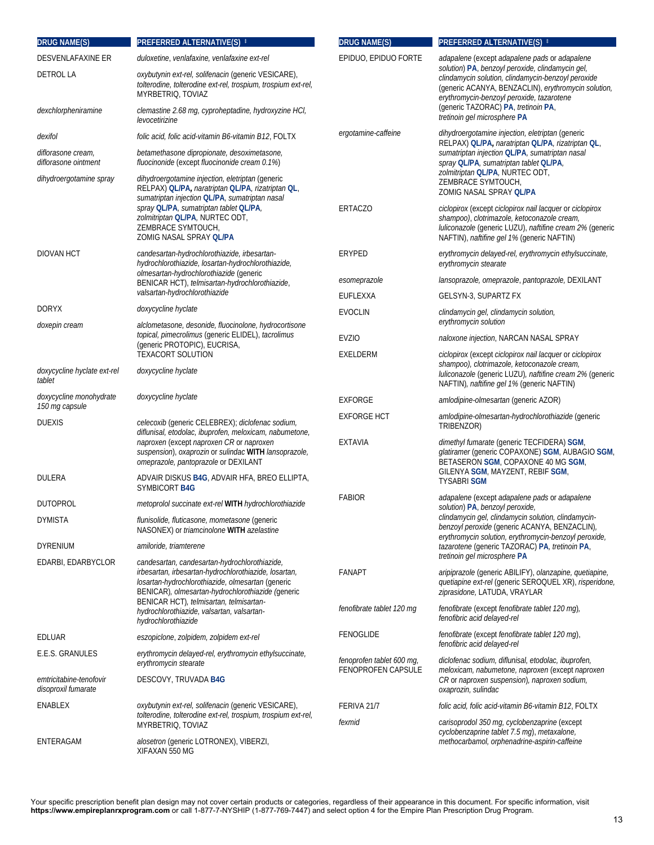| <b>DRUG NAME(S)</b>                            | PREFERRED ALTERNATIVE(S) #                                                                                                                                                                                       | <b>DRUG NAME(S)</b>       | PREFERRED ALTERNATIVE(S) #                                                                                                                                                                                        |
|------------------------------------------------|------------------------------------------------------------------------------------------------------------------------------------------------------------------------------------------------------------------|---------------------------|-------------------------------------------------------------------------------------------------------------------------------------------------------------------------------------------------------------------|
| <b>DESVENLAFAXINE ER</b>                       | duloxetine, venlafaxine, venlafaxine ext-rel                                                                                                                                                                     | EPIDUO, EPIDUO FORTE      | adapalene (except adapalene pads or adapalene                                                                                                                                                                     |
| <b>DETROL LA</b>                               | oxybutynin ext-rel, solifenacin (generic VESICARE),<br>tolterodine, tolterodine ext-rel, trospium, trospium ext-rel,<br>MYRBETRIQ, TOVIAZ                                                                        |                           | solution) PA, benzoyl peroxide, clindamycin gel,<br>clindamycin solution, clindamycin-benzoyl peroxide<br>(generic ACANYA, BENZACLIN), erythromycin solution,<br>erythromycin-benzoyl peroxide, tazarotene        |
| dexchlorpheniramine                            | clemastine 2.68 mg, cyproheptadine, hydroxyzine HCI,<br>levocetirizine                                                                                                                                           |                           | (generic TAZORAC) PA, tretinoin PA,<br>tretinoin gel microsphere PA                                                                                                                                               |
| dexifol                                        | folic acid, folic acid-vitamin B6-vitamin B12, FOLTX                                                                                                                                                             | ergotamine-caffeine       | dihydroergotamine injection, eletriptan (generic<br>RELPAX) QL/PA, naratriptan QL/PA, rizatriptan QL,                                                                                                             |
| diflorasone cream,<br>diflorasone ointment     | betamethasone dipropionate, desoximetasone,<br>fluocinonide (except fluocinonide cream 0.1%)                                                                                                                     |                           | sumatriptan injection QL/PA, sumatriptan nasal<br>spray QL/PA, sumatriptan tablet QL/PA,                                                                                                                          |
| dihydroergotamine spray                        | dihydroergotamine injection, eletriptan (generic<br>RELPAX) QL/PA, naratriptan QL/PA, rizatriptan QL,<br>sumatriptan injection QL/PA, sumatriptan nasal                                                          |                           | zolmitriptan QL/PA, NURTEC ODT,<br>ZEMBRACE SYMTOUCH,<br>ZOMIG NASAL SPRAY QL/PA                                                                                                                                  |
|                                                | spray QL/PA, sumatriptan tablet QL/PA,<br>zolmitriptan QL/PA, NURTEC ODT,<br>ZEMBRACE SYMTOUCH,<br>ZOMIG NASAL SPRAY QL/PA                                                                                       | ERTACZO                   | ciclopirox (except ciclopirox nail lacquer or ciclopirox<br>shampoo), clotrimazole, ketoconazole cream,<br>luliconazole (generic LUZU), naftifine cream 2% (generic<br>NAFTIN), naftifine gel 1% (generic NAFTIN) |
| <b>DIOVAN HCT</b>                              | candesartan-hydrochlorothiazide, irbesartan-<br>hydrochlorothiazide, losartan-hydrochlorothiazide,                                                                                                               | ERYPED                    | erythromycin delayed-rel, erythromycin ethylsuccinate,<br>erythromycin stearate                                                                                                                                   |
|                                                | olmesartan-hydrochlorothiazide (generic<br>BENICAR HCT), telmisartan-hydrochlorothiazide,                                                                                                                        | esomeprazole              | lansoprazole, omeprazole, pantoprazole, DEXILANT                                                                                                                                                                  |
|                                                | valsartan-hydrochlorothiazide                                                                                                                                                                                    | EUFLEXXA                  | GELSYN-3, SUPARTZ FX                                                                                                                                                                                              |
| <b>DORYX</b><br>doxepin cream                  | doxycycline hyclate<br>alclometasone, desonide, fluocinolone, hydrocortisone                                                                                                                                     | <b>EVOCLIN</b>            | clindamycin gel, clindamycin solution,<br>erythromycin solution                                                                                                                                                   |
|                                                | topical, pimecrolimus (generic ELIDEL), tacrolimus<br>(generic PROTOPIC), EUCRISA,                                                                                                                               | <b>EVZIO</b>              | naloxone injection, NARCAN NASAL SPRAY                                                                                                                                                                            |
| doxycycline hyclate ext-rel<br>tablet          | <b>TEXACORT SOLUTION</b><br>doxycycline hyclate                                                                                                                                                                  | EXELDERM                  | ciclopirox (except ciclopirox nail lacquer or ciclopirox<br>shampoo), clotrimazole, ketoconazole cream,<br>luliconazole (generic LUZU), naftifine cream 2% (generic                                               |
| doxycycline monohydrate                        | doxycycline hyclate                                                                                                                                                                                              | <b>EXFORGE</b>            | NAFTIN), naftifine gel 1% (generic NAFTIN)<br>amlodipine-olmesartan (generic AZOR)                                                                                                                                |
| 150 mg capsule                                 |                                                                                                                                                                                                                  | <b>EXFORGE HCT</b>        | amlodipine-olmesartan-hydrochlorothiazide (generic                                                                                                                                                                |
| <b>DUEXIS</b>                                  | celecoxib (generic CELEBREX); diclofenac sodium,<br>diflunisal, etodolac, ibuprofen, meloxicam, nabumetone,                                                                                                      |                           | TRIBENZOR)                                                                                                                                                                                                        |
|                                                | naproxen (except naproxen CR or naproxen<br>suspension), oxaprozin or sulindac WITH lansoprazole,<br>omeprazole, pantoprazole or DEXILANT                                                                        | EXTAVIA                   | dimethyl fumarate (generic TECFIDERA) SGM,<br>glatiramer (generic COPAXONE) SGM, AUBAGIO SGM,<br>BETASERON SGM, COPAXONE 40 MG SGM,                                                                               |
| DULERA                                         | ADVAIR DISKUS B4G, ADVAIR HFA, BREO ELLIPTA,<br>SYMBICORT B4G                                                                                                                                                    |                           | GILENYA SGM, MAYZENT, REBIF SGM,<br><b>TYSABRI SGM</b>                                                                                                                                                            |
| <b>DUTOPROL</b>                                | metoprolol succinate ext-rel WITH hydrochlorothiazide                                                                                                                                                            | <b>FABIOR</b>             | adapalene (except adapalene pads or adapalene<br>solution) PA, benzoyl peroxide,                                                                                                                                  |
| <b>DYMISTA</b>                                 | <i>flunisolide, fluticasone, mometasone</i> (generic<br>NASONEX) or <i>triamcinolone</i> WITH azelastine                                                                                                         |                           | clindamycin gel, clindamycin solution, clindamycin-<br>benzoyl peroxide (generic ACANYA, BENZACLIN),<br>erythromycin solution, erythromycin-benzoyl peroxide,                                                     |
| DYRENIUM                                       | amiloride, triamterene                                                                                                                                                                                           |                           | tazarotene (generic TAZORAC) PA, tretinoin PA,<br>tretinoin gel microsphere PA                                                                                                                                    |
| EDARBI, EDARBYCLOR                             | candesartan, candesartan-hydrochlorothiazide,<br>irbesartan, irbesartan-hydrochlorothiazide, losartan,<br>losartan-hydrochlorothiazide, olmesartan (generic<br>BENICAR), olmesartan-hydrochlorothiazide (generic | <b>FANAPT</b>             | aripiprazole (generic ABILIFY), olanzapine, quetiapine,<br>quetiapine ext-rel (generic SEROQUEL XR), risperidone,<br>ziprasidone, LATUDA, VRAYLAR                                                                 |
|                                                | BENICAR HCT), telmisartan, telmisartan-<br>hydrochlorothiazide, valsartan, valsartan-<br>hydrochlorothiazide                                                                                                     | fenofibrate tablet 120 mg | fenofibrate (except fenofibrate tablet 120 mg),<br>fenofibric acid delayed-rel                                                                                                                                    |
| EDLUAR                                         | eszopiclone, zolpidem, zolpidem ext-rel                                                                                                                                                                          | <b>FENOGLIDE</b>          | fenofibrate (except fenofibrate tablet 120 mg),                                                                                                                                                                   |
| E.E.S. GRANULES                                | erythromycin delayed-rel, erythromycin ethylsuccinate,<br>erythromycin stearate                                                                                                                                  | fenoprofen tablet 600 mg, | fenofibric acid delayed-rel<br>diclofenac sodium, diflunisal, etodolac, ibuprofen,                                                                                                                                |
| emtricitabine-tenofovir<br>disoproxil fumarate | DESCOVY, TRUVADA B4G                                                                                                                                                                                             | <b>FENOPROFEN CAPSULE</b> | meloxicam, nabumetone, naproxen (except naproxen<br>CR or naproxen suspension), naproxen sodium,<br>oxaprozin, sulindac                                                                                           |
| <b>ENABLEX</b>                                 | oxybutynin ext-rel, solifenacin (generic VESICARE),                                                                                                                                                              | FERIVA 21/7               | folic acid, folic acid-vitamin B6-vitamin B12, FOLTX                                                                                                                                                              |
|                                                | tolterodine, tolterodine ext-rel, trospium, trospium ext-rel,<br>MYRBETRIQ, TOVIAZ                                                                                                                               | fexmid                    | carisoprodol 350 mg, cyclobenzaprine (except<br>cyclobenzaprine tablet 7.5 mg), metaxalone,                                                                                                                       |
| ENTERAGAM                                      | alosetron (generic LOTRONEX), VIBERZI,<br>XIFAXAN 550 MG                                                                                                                                                         |                           | methocarbamol, orphenadrine-aspirin-caffeine                                                                                                                                                                      |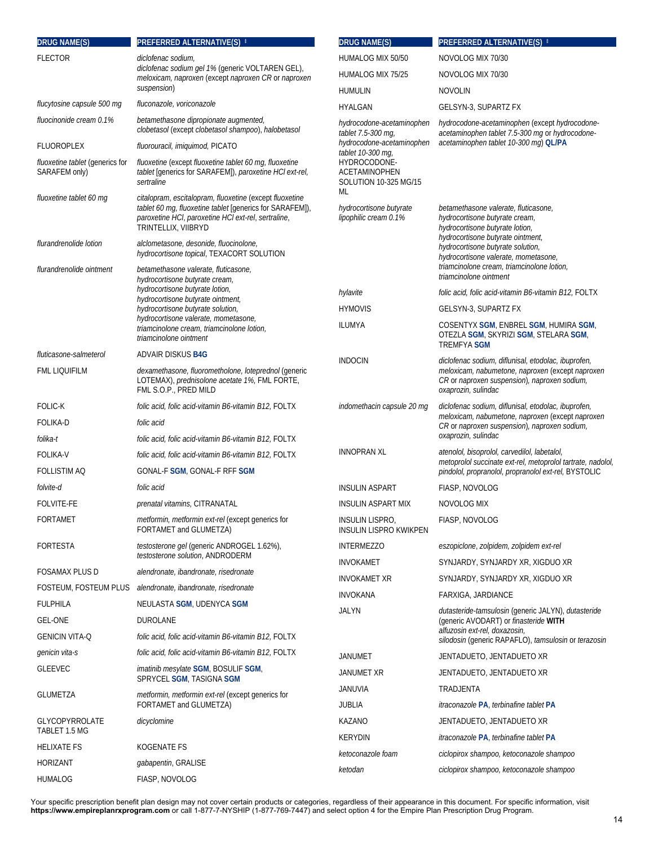| <b>DRUG NAME(S)</b>                                | PREFERRED ALTERNATIVE(S) #                                                                                                                                                                        | <b>DRUG NAME(S)</b>                                          | PREFERRED ALTERNATIVE(S) #                                                                                                                     |
|----------------------------------------------------|---------------------------------------------------------------------------------------------------------------------------------------------------------------------------------------------------|--------------------------------------------------------------|------------------------------------------------------------------------------------------------------------------------------------------------|
| <b>FLECTOR</b>                                     | diclofenac sodium,<br>diclofenac sodium gel 1% (generic VOLTAREN GEL),<br>meloxicam, naproxen (except naproxen CR or naproxen                                                                     | HUMALOG MIX 50/50                                            | NOVOLOG MIX 70/30                                                                                                                              |
|                                                    |                                                                                                                                                                                                   | HUMALOG MIX 75/25                                            | NOVOLOG MIX 70/30                                                                                                                              |
|                                                    | suspension)                                                                                                                                                                                       | <b>HUMULIN</b>                                               | <b>NOVOLIN</b>                                                                                                                                 |
| flucytosine capsule 500 mq                         | fluconazole, voriconazole                                                                                                                                                                         | HYALGAN                                                      | GELSYN-3, SUPARTZ FX                                                                                                                           |
| fluocinonide cream 0.1%                            | betamethasone dipropionate augmented,<br>clobetasol (except clobetasol shampoo), halobetasol                                                                                                      | hydrocodone-acetaminophen<br>tablet 7.5-300 mg,              | hydrocodone-acetaminophen (except hydrocodone-<br>acetaminophen tablet 7.5-300 mg or hydrocodone-<br>acetaminophen tablet 10-300 mg) QL/PA     |
| <b>FLUOROPLEX</b>                                  | fluorouracil, imiguimod, PICATO                                                                                                                                                                   | hydrocodone-acetaminophen<br>tablet 10-300 mg,               |                                                                                                                                                |
| fluoxetine tablet (generics for<br>SARAFEM only)   | fluoxetine (except fluoxetine tablet 60 mg, fluoxetine<br>tablet [generics for SARAFEM]), paroxetine HCI ext-rel,<br>sertraline                                                                   | HYDROCODONE-<br>ACETAMINOPHEN<br>SOLUTION 10-325 MG/15<br>ML |                                                                                                                                                |
| fluoxetine tablet 60 mg                            | citalopram, escitalopram, fluoxetine (except fluoxetine<br>tablet 60 mg, fluoxetine tablet [generics for SARAFEM]),<br>paroxetine HCI, paroxetine HCI ext-rel, sertraline,<br>TRINTELLIX, VIIBRYD | hydrocortisone butyrate<br>lipophilic cream 0.1%             | betamethasone valerate, fluticasone,<br>hydrocortisone butyrate cream,<br>hydrocortisone butyrate lotion,<br>hydrocortisone butyrate ointment, |
| flurandrenolide lotion<br>flurandrenolide ointment | alclometasone, desonide, fluocinolone,<br>hydrocortisone topical, TEXACORT SOLUTION<br>betamethasone valerate, fluticasone,                                                                       |                                                              | hydrocortisone butyrate solution,<br>hydrocortisone valerate, mometasone,<br>triamcinolone cream, triamcinolone lotion,                        |
|                                                    | hydrocortisone butyrate cream,                                                                                                                                                                    |                                                              | triamcinolone ointment                                                                                                                         |
|                                                    | hydrocortisone butyrate lotion,<br>hydrocortisone butyrate ointment,                                                                                                                              | hylavite                                                     | folic acid, folic acid-vitamin B6-vitamin B12, FOLTX                                                                                           |
|                                                    | hydrocortisone butyrate solution,<br>hydrocortisone valerate, mometasone,                                                                                                                         | <b>HYMOVIS</b>                                               | GELSYN-3, SUPARTZ FX                                                                                                                           |
|                                                    | triamcinolone cream, triamcinolone lotion,<br>triamcinolone ointment                                                                                                                              | <b>ILUMYA</b>                                                | COSENTYX SGM, ENBREL SGM, HUMIRA SGM,<br>OTEZLA SGM, SKYRIZI SGM, STELARA SGM,<br><b>TREMFYA SGM</b>                                           |
| fluticasone-salmeterol                             | ADVAIR DISKUS B4G                                                                                                                                                                                 | <b>INDOCIN</b>                                               | diclofenac sodium, diflunisal, etodolac, ibuprofen,                                                                                            |
| <b>FML LIQUIFILM</b>                               | dexamethasone, fluorometholone, loteprednol (generic<br>LOTEMAX), prednisolone acetate 1%, FML FORTE,<br>FML S.O.P., PRED MILD                                                                    |                                                              | meloxicam, nabumetone, naproxen (except naproxen<br>CR or naproxen suspension), naproxen sodium,<br>oxaprozin, sulindac                        |
| <b>FOLIC-K</b>                                     | folic acid, folic acid-vitamin B6-vitamin B12, FOLTX                                                                                                                                              | indomethacin capsule 20 mg                                   | diclofenac sodium, diflunisal, etodolac, ibuprofen,                                                                                            |
| <b>FOLIKA-D</b><br>folika-t                        | folic acid<br>folic acid, folic acid-vitamin B6-vitamin B12, FOLTX                                                                                                                                |                                                              | meloxicam, nabumetone, naproxen (except naproxen<br>CR or naproxen suspension), naproxen sodium,<br>oxaprozin, sulindac                        |
| <b>FOLIKA-V</b>                                    | folic acid, folic acid-vitamin B6-vitamin B12, FOLTX                                                                                                                                              | <b>INNOPRAN XL</b>                                           | atenolol, bisoprolol, carvedilol, labetalol,                                                                                                   |
| <b>FOLLISTIM AQ</b>                                | GONAL-F SGM, GONAL-F RFF SGM                                                                                                                                                                      |                                                              | metoprolol succinate ext-rel, metoprolol tartrate, nadolol,<br>pindolol, propranolol, propranolol ext-rel, BYSTOLIC                            |
| folvite-d                                          | folic acid                                                                                                                                                                                        | <b>INSULIN ASPART</b>                                        | FIASP, NOVOLOG                                                                                                                                 |
| <b>FOLVITE-FE</b>                                  | <i>prenatal vitamins</i> , CITRANATAL                                                                                                                                                             | <b>INSULIN ASPART MIX</b>                                    | NOVOLOG MIX                                                                                                                                    |
| <b>FORTAMET</b>                                    | metformin, metformin ext-rel (except generics for<br>FORTAMET and GLUMETZA)                                                                                                                       | <b>INSULIN LISPRO,</b><br><b>INSULIN LISPRO KWIKPEN</b>      | FIASP, NOVOLOG                                                                                                                                 |
| <b>FORTESTA</b>                                    | testosterone gel (generic ANDROGEL 1.62%),                                                                                                                                                        | <b>INTERMEZZO</b>                                            | eszopiclone, zolpidem, zolpidem ext-rel                                                                                                        |
|                                                    | testosterone solution. ANDRODERM                                                                                                                                                                  | <b>INVOKAMET</b>                                             | SYNJARDY, SYNJARDY XR, XIGDUO XR                                                                                                               |
| <b>FOSAMAX PLUS D</b>                              | alendronate, ibandronate, risedronate                                                                                                                                                             | <b>INVOKAMET XR</b>                                          | SYNJARDY, SYNJARDY XR, XIGDUO XR                                                                                                               |
|                                                    | FOSTEUM, FOSTEUM PLUS alendronate, ibandronate, risedronate                                                                                                                                       | <b>INVOKANA</b>                                              | FARXIGA, JARDIANCE                                                                                                                             |
| <b>FULPHILA</b>                                    | NEULASTA SGM, UDENYCA SGM                                                                                                                                                                         | <b>JALYN</b>                                                 | dutasteride-tamsulosin (generic JALYN), dutasteride                                                                                            |
| <b>GEL-ONE</b>                                     | DUROLANE                                                                                                                                                                                          |                                                              | (generic AVODART) or finasteride WITH<br>alfuzosin ext-rel, doxazosin,                                                                         |
| <b>GENICIN VITA-Q</b>                              | folic acid, folic acid-vitamin B6-vitamin B12, FOLTX                                                                                                                                              |                                                              | silodosin (generic RAPAFLO), tamsulosin or terazosin                                                                                           |
| genicin vita-s                                     | folic acid, folic acid-vitamin B6-vitamin B12, FOLTX                                                                                                                                              | <b>JANUMET</b>                                               | JENTADUETO, JENTADUETO XR                                                                                                                      |
| <b>GLEEVEC</b>                                     | imatinib mesylate SGM, BOSULIF SGM,<br>SPRYCEL SGM, TASIGNA SGM                                                                                                                                   | JANUMET XR                                                   | JENTADUETO, JENTADUETO XR                                                                                                                      |
| <b>GLUMETZA</b>                                    | metformin, metformin ext-rel (except generics for                                                                                                                                                 | JANUVIA                                                      | TRADJENTA                                                                                                                                      |
|                                                    | FORTAMET and GLUMETZA)                                                                                                                                                                            | <b>JUBLIA</b>                                                | <i>itraconazole PA, terbinafine tablet PA</i>                                                                                                  |
| <b>GLYCOPYRROLATE</b><br>TABLET 1.5 MG             | dicyclomine                                                                                                                                                                                       | KAZANO                                                       | JENTADUETO, JENTADUETO XR                                                                                                                      |
| <b>HELIXATE FS</b>                                 | KOGENATE FS                                                                                                                                                                                       | <b>KERYDIN</b>                                               | <i>itraconazole PA, terbinafine tablet PA</i>                                                                                                  |
| <b>HORIZANT</b>                                    | gabapentin, GRALISE                                                                                                                                                                               | ketoconazole foam                                            | ciclopirox shampoo, ketoconazole shampoo                                                                                                       |
| <b>HUMALOG</b>                                     | FIASP, NOVOLOG                                                                                                                                                                                    | ketodan                                                      | ciclopirox shampoo, ketoconazole shampoo                                                                                                       |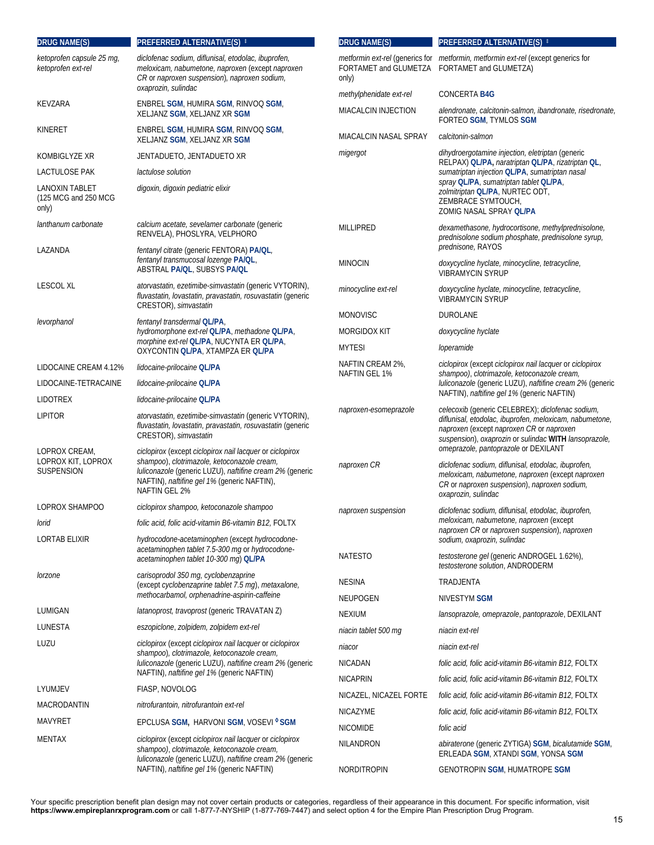| <b>DRUG NAME(S)</b>                             | PREFERRED ALTERNATIVE(S) #                                                                                                                                                                                                                 | <b>DRUG NAME(S)</b>               | PREFERRED ALTERNATIVE(S) #                                                                                                                                                                                                                               |
|-------------------------------------------------|--------------------------------------------------------------------------------------------------------------------------------------------------------------------------------------------------------------------------------------------|-----------------------------------|----------------------------------------------------------------------------------------------------------------------------------------------------------------------------------------------------------------------------------------------------------|
| ketoprofen capsule 25 mg,<br>ketoprofen ext-rel | diclofenac sodium, diflunisal, etodolac, ibuprofen,<br>meloxicam, nabumetone, naproxen (except naproxen<br>CR or naproxen suspension), naproxen sodium,<br>oxaprozin, sulindac                                                             | only)                             | metformin ext-rel (generics for metformin, metformin ext-rel (except generics for<br>FORTAMET and GLUMETZA FORTAMET and GLUMETZA)                                                                                                                        |
| KEVZARA                                         | ENBREL SGM, HUMIRA SGM, RINVOQ SGM,                                                                                                                                                                                                        | methylphenidate ext-rel           | <b>CONCERTA B4G</b>                                                                                                                                                                                                                                      |
|                                                 | XELJANZ SGM, XELJANZ XR SGM                                                                                                                                                                                                                | MIACALCIN INJECTION               | alendronate, calcitonin-salmon, ibandronate, risedronate,<br>FORTEO SGM, TYMLOS SGM                                                                                                                                                                      |
| KINERET                                         | ENBREL SGM, HUMIRA SGM, RINVOQ SGM,<br>XELJANZ SGM, XELJANZ XR SGM                                                                                                                                                                         | MIACALCIN NASAL SPRAY             | calcitonin-salmon                                                                                                                                                                                                                                        |
| KOMBIGLYZE XR                                   | JENTADUETO, JENTADUETO XR                                                                                                                                                                                                                  | migergot                          | dihydroergotamine injection, eletriptan (generic<br>RELPAX) QL/PA, naratriptan QL/PA, rizatriptan QL,                                                                                                                                                    |
| LACTULOSE PAK                                   | lactulose solution                                                                                                                                                                                                                         |                                   | sumatriptan injection QL/PA, sumatriptan nasal                                                                                                                                                                                                           |
| LANOXIN TABLET<br>(125 MCG and 250 MCG<br>only) | digoxin, digoxin pediatric elixir                                                                                                                                                                                                          |                                   | spray QL/PA, sumatriptan tablet QL/PA,<br>zolmitriptan QL/PA, NURTEC ODT,<br>ZEMBRACE SYMTOUCH,<br>ZOMIG NASAL SPRAY QL/PA                                                                                                                               |
| lanthanum carbonate                             | calcium acetate, sevelamer carbonate (generic<br>RENVELA), PHOSLYRA, VELPHORO                                                                                                                                                              | MILLIPRED                         | dexamethasone, hydrocortisone, methylprednisolone,<br>prednisolone sodium phosphate, prednisolone syrup,                                                                                                                                                 |
| LAZANDA                                         | fentanyl citrate (generic FENTORA) PA/QL,<br>fentanyl transmucosal lozenge PA/QL,<br>ABSTRAL PA/QL, SUBSYS PA/QL                                                                                                                           | <b>MINOCIN</b>                    | prednisone, RAYOS<br>doxycycline hyclate, minocycline, tetracycline,<br><b>VIBRAMYCIN SYRUP</b>                                                                                                                                                          |
| <b>LESCOL XL</b>                                | atorvastatin, ezetimibe-simvastatin (generic VYTORIN),<br>fluvastatin, lovastatin, pravastatin, rosuvastatin (generic<br>CRESTOR), simvastatin                                                                                             | minocycline ext-rel               | doxycycline hyclate, minocycline, tetracycline,<br><b>VIBRAMYCIN SYRUP</b>                                                                                                                                                                               |
| levorphanol                                     | fentanyl transdermal QL/PA,                                                                                                                                                                                                                | <b>MONOVISC</b>                   | <b>DUROLANE</b>                                                                                                                                                                                                                                          |
|                                                 | hydromorphone ext-rel QLIPA, methadone QLIPA,                                                                                                                                                                                              | MORGIDOX KIT                      | doxycycline hyclate                                                                                                                                                                                                                                      |
|                                                 | morphine ext-rel QL/PA, NUCYNTA ER QL/PA,<br>OXYCONTIN QL/PA, XTAMPZA ER QL/PA                                                                                                                                                             | <b>MYTESI</b>                     | loperamide                                                                                                                                                                                                                                               |
| LIDOCAINE CREAM 4.12%                           | lidocaine-prilocaine QL/PA                                                                                                                                                                                                                 | NAFTIN CREAM 2%,<br>NAFTIN GEL 1% | ciclopirox (except ciclopirox nail lacquer or ciclopirox<br>shampoo), clotrimazole, ketoconazole cream,<br>luliconazole (generic LUZU), naftifine cream 2% (generic                                                                                      |
| LIDOCAINE-TETRACAINE                            | lidocaine-prilocaine QL/PA                                                                                                                                                                                                                 |                                   |                                                                                                                                                                                                                                                          |
| <b>LIDOTREX</b>                                 | lidocaine-prilocaine QL/PA                                                                                                                                                                                                                 |                                   | NAFTIN), naftifine gel 1% (generic NAFTIN)                                                                                                                                                                                                               |
| <b>LIPITOR</b><br>LOPROX CREAM,                 | atorvastatin, ezetimibe-simvastatin (generic VYTORIN),<br>fluvastatin, lovastatin, pravastatin, rosuvastatin (generic<br>CRESTOR), simvastatin                                                                                             | naproxen-esomeprazole             | celecoxib (generic CELEBREX); diclofenac sodium,<br>diflunisal, etodolac, ibuprofen, meloxicam, nabumetone,<br>naproxen (except naproxen CR or naproxen<br>suspension), oxaprozin or sulindac WITH lansoprazole,<br>omeprazole, pantoprazole or DEXILANT |
| LOPROX KIT, LOPROX<br><b>SUSPENSION</b>         | ciclopirox (except ciclopirox nail lacquer or ciclopirox<br>shampoo), clotrimazole, ketoconazole cream,<br>luliconazole (generic LUZU), naftifine cream 2% (generic<br>NAFTIN), naftifine gel 1% (generic NAFTIN),<br><b>NAFTIN GEL 2%</b> | naproxen CR                       | diclofenac sodium, diflunisal, etodolac, ibuprofen,<br>meloxicam, nabumetone, naproxen (except naproxen<br>CR or naproxen suspension), naproxen sodium,<br>oxaprozin, sulindac                                                                           |
| LOPROX SHAMPOO                                  | ciclopirox shampoo, ketoconazole shampoo                                                                                                                                                                                                   | naproxen suspension               | diclofenac sodium, diflunisal, etodolac, ibuprofen,                                                                                                                                                                                                      |
| lorid                                           | folic acid, folic acid-vitamin B6-vitamin B12, FOLTX                                                                                                                                                                                       |                                   | meloxicam, nabumetone, naproxen (except<br>naproxen CR or naproxen suspension), naproxen                                                                                                                                                                 |
| LORTAB ELIXIR                                   | hydrocodone-acetaminophen (except hydrocodone-<br>acetaminophen tablet 7.5-300 mg or hydrocodone-<br>acetaminophen tablet 10-300 mg) QL/PA                                                                                                 | <b>NATESTO</b>                    | sodium, oxaprozin, sulindac<br>testosterone gel (generic ANDROGEL 1.62%),                                                                                                                                                                                |
| lorzone                                         | carisoprodol 350 mg, cyclobenzaprine                                                                                                                                                                                                       | <b>NESINA</b>                     | testosterone solution, ANDRODERM<br>TRADJENTA                                                                                                                                                                                                            |
|                                                 | (except cyclobenzaprine tablet 7.5 mg), metaxalone,<br>methocarbamol, orphenadrine-aspirin-caffeine                                                                                                                                        | <b>NEUPOGEN</b>                   | NIVESTYM SGM                                                                                                                                                                                                                                             |
| LUMIGAN                                         | latanoprost, travoprost (generic TRAVATAN Z)                                                                                                                                                                                               | <b>NEXIUM</b>                     | lansoprazole, omeprazole, pantoprazole, DEXILANT                                                                                                                                                                                                         |
| LUNESTA                                         | eszopiclone, zolpidem, zolpidem ext-rel                                                                                                                                                                                                    | niacin tablet 500 mg              | niacin ext-rel                                                                                                                                                                                                                                           |
| LUZU                                            | ciclopirox (except ciclopirox nail lacquer or ciclopirox                                                                                                                                                                                   | niacor                            | niacin ext-rel                                                                                                                                                                                                                                           |
|                                                 | shampoo), clotrimazole, ketoconazole cream,<br>luliconazole (generic LUZU), naftifine cream 2% (generic                                                                                                                                    | <b>NICADAN</b>                    | folic acid, folic acid-vitamin B6-vitamin B12, FOLTX                                                                                                                                                                                                     |
|                                                 | NAFTIN), naftifine gel 1% (generic NAFTIN)                                                                                                                                                                                                 | <b>NICAPRIN</b>                   | folic acid, folic acid-vitamin B6-vitamin B12, FOLTX                                                                                                                                                                                                     |
| LYUMJEV                                         | FIASP, NOVOLOG                                                                                                                                                                                                                             | NICAZEL, NICAZEL FORTE            | folic acid, folic acid-vitamin B6-vitamin B12, FOLTX                                                                                                                                                                                                     |
| MACRODANTIN                                     | nitrofurantoin, nitrofurantoin ext-rel                                                                                                                                                                                                     | <b>NICAZYME</b>                   | folic acid, folic acid-vitamin B6-vitamin B12, FOLTX                                                                                                                                                                                                     |
| MAVYRET                                         | EPCLUSA SGM, HARVONI SGM, VOSEVI <sup>O</sup> SGM                                                                                                                                                                                          | <b>NICOMIDE</b>                   | folic acid                                                                                                                                                                                                                                               |
| MENTAX                                          | ciclopirox (except ciclopirox nail lacquer or ciclopirox<br>shampoo), clotrimazole, ketoconazole cream,                                                                                                                                    | NILANDRON                         | abiraterone (generic ZYTIGA) SGM, bicalutamide SGM,<br>ERLEADA SGM, XTANDI SGM, YONSA SGM                                                                                                                                                                |
|                                                 | luliconazole (generic LUZU), naftifine cream 2% (generic<br>NAFTIN), naftifine gel 1% (generic NAFTIN)                                                                                                                                     | NORDITROPIN                       | <b>GENOTROPIN SGM, HUMATROPE SGM</b>                                                                                                                                                                                                                     |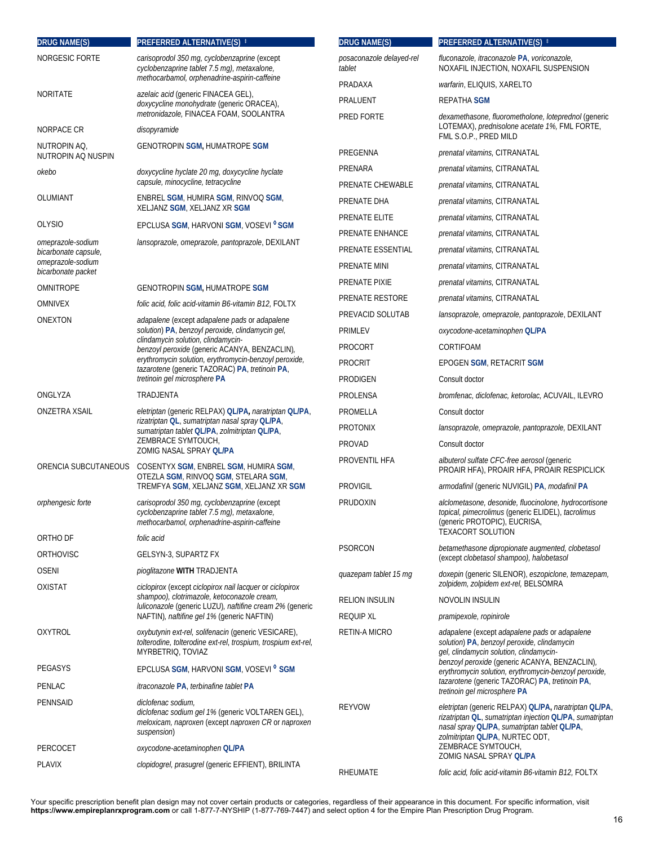| <b>DRUG NAME(S)</b>                       | PREFERRED ALTERNATIVE(S) #                                                                                                                               | <b>DRUG NAME(S)</b>                | PREFERRED ALTERNATIVE(S) #                                                                                                                                                                                         |
|-------------------------------------------|----------------------------------------------------------------------------------------------------------------------------------------------------------|------------------------------------|--------------------------------------------------------------------------------------------------------------------------------------------------------------------------------------------------------------------|
| NORGESIC FORTE                            | carisoprodol 350 mg, cyclobenzaprine (except<br>cyclobenzaprine tablet 7.5 mg), metaxalone,                                                              | posaconazole delayed-rel<br>tablet | fluconazole, itraconazole PA, voriconazole,<br>NOXAFIL INJECTION, NOXAFIL SUSPENSION                                                                                                                               |
|                                           | methocarbamol, orphenadrine-aspirin-caffeine                                                                                                             | PRADAXA                            | warfarin, ELIQUIS, XARELTO                                                                                                                                                                                         |
| <b>NORITATE</b>                           | <i>azelaic acid</i> (generic FINACEA GEL),<br>doxycycline monohydrate (generic ORACEA),                                                                  | PRALUENT                           | <b>REPATHA SGM</b>                                                                                                                                                                                                 |
| NORPACE CR                                | metronidazole, FINACEA FOAM, SOOLANTRA<br>disopyramide                                                                                                   | PRED FORTE                         | dexamethasone, fluorometholone, loteprednol (generic<br>LOTEMAX), prednisolone acetate 1%, FML FORTE,                                                                                                              |
| NUTROPIN AQ,                              | <b>GENOTROPIN SGM, HUMATROPE SGM</b>                                                                                                                     |                                    | FML S.O.P., PRED MILD                                                                                                                                                                                              |
| NUTROPIN AQ NUSPIN                        |                                                                                                                                                          | PREGENNA                           | prenatal vitamins, CITRANATAL                                                                                                                                                                                      |
| okebo                                     | doxycycline hyclate 20 mg, doxycycline hyclate<br>capsule, minocycline, tetracycline                                                                     | PRENARA                            | prenatal vitamins, CITRANATAL                                                                                                                                                                                      |
| OLUMIANT                                  | ENBREL SGM, HUMIRA SGM, RINVOQ SGM,                                                                                                                      | PRENATE CHEWABLE                   | prenatal vitamins, CITRANATAL                                                                                                                                                                                      |
|                                           | XELJANZ SGM, XELJANZ XR SGM                                                                                                                              | PRENATE DHA                        | prenatal vitamins, CITRANATAL                                                                                                                                                                                      |
| <b>OLYSIO</b>                             | EPCLUSA SGM, HARVONI SGM, VOSEVI <sup>O</sup> SGM                                                                                                        | PRENATE ELITE                      | prenatal vitamins, CITRANATAL                                                                                                                                                                                      |
| omeprazole-sodium                         | lansoprazole, omeprazole, pantoprazole, DEXILANT                                                                                                         | PRENATE ENHANCE                    | prenatal vitamins, CITRANATAL                                                                                                                                                                                      |
| bicarbonate capsule,<br>omeprazole-sodium |                                                                                                                                                          | PRENATE ESSENTIAL                  | prenatal vitamins, CITRANATAL                                                                                                                                                                                      |
| bicarbonate packet                        |                                                                                                                                                          | PRENATE MINI                       | prenatal vitamins, CITRANATAL                                                                                                                                                                                      |
| <b>OMNITROPE</b>                          | <b>GENOTROPIN SGM, HUMATROPE SGM</b>                                                                                                                     | PRENATE PIXIE                      | prenatal vitamins, CITRANATAL                                                                                                                                                                                      |
| <b>OMNIVEX</b>                            | folic acid, folic acid-vitamin B6-vitamin B12, FOLTX                                                                                                     | PRENATE RESTORE                    | prenatal vitamins, CITRANATAL                                                                                                                                                                                      |
| ONEXTON                                   | adapalene (except adapalene pads or adapalene                                                                                                            | PREVACID SOLUTAB                   | lansoprazole, omeprazole, pantoprazole, DEXILANT                                                                                                                                                                   |
|                                           | solution) PA, benzoyl peroxide, clindamycin gel,<br>clindamycin solution, clindamycin-                                                                   | PRIMLEV                            | oxycodone-acetaminophen QLIPA                                                                                                                                                                                      |
|                                           | benzoyl peroxide (generic ACANYA, BENZACLIN),<br>erythromycin solution, erythromycin-benzoyl peroxide,<br>tazarotene (generic TAZORAC) PA, tretinoin PA, | <b>PROCORT</b>                     | CORTIFOAM                                                                                                                                                                                                          |
|                                           |                                                                                                                                                          | <b>PROCRIT</b>                     | EPOGEN SGM, RETACRIT SGM                                                                                                                                                                                           |
|                                           | tretinoin gel microsphere PA                                                                                                                             | PRODIGEN                           | Consult doctor                                                                                                                                                                                                     |
| ONGLYZA                                   | TRADJENTA                                                                                                                                                | PROLENSA                           | bromfenac, diclofenac, ketorolac, ACUVAIL, ILEVRO                                                                                                                                                                  |
| ONZETRA XSAIL                             | eletriptan (generic RELPAX) QL/PA, naratriptan QL/PA,<br>rizatriptan QL, sumatriptan nasal spray QL/PA,                                                  | PROMELLA                           | Consult doctor                                                                                                                                                                                                     |
|                                           | sumatriptan tablet QLIPA, zolmitriptan QLIPA,<br>ZEMBRACE SYMTOUCH,                                                                                      | <b>PROTONIX</b>                    | lansoprazole, omeprazole, pantoprazole, DEXILANT                                                                                                                                                                   |
|                                           | ZOMIG NASAL SPRAY OL/PA                                                                                                                                  | PROVAD                             | Consult doctor                                                                                                                                                                                                     |
| ORENCIA SUBCUTANEOUS                      | COSENTYX SGM, ENBREL SGM, HUMIRA SGM,<br>OTEZLA SGM, RINVOQ SGM, STELARA SGM,                                                                            | PROVENTIL HFA                      | <i>albuterol sulfate CFC-free aerosol</i> (generic<br>PROAIR HFA), PROAIR HFA, PROAIR RESPICLICK                                                                                                                   |
|                                           | TREMFYA SGM, XELJANZ SGM, XELJANZ XR SGM                                                                                                                 | <b>PROVIGIL</b>                    | armodafinil (generic NUVIGIL) PA, modafinil PA                                                                                                                                                                     |
| orphengesic forte                         | carisoprodol 350 mg, cyclobenzaprine (except<br>cyclobenzaprine tablet 7.5 mg), metaxalone,<br>methocarbamol, orphenadrine-aspirin-caffeine              | PRUDOXIN                           | alclometasone, desonide, fluocinolone, hydrocortisone<br>topical, pimecrolimus (generic ELIDEL), tacrolimus<br>(generic PROTOPIC), EUCRISA,<br><b>TEXACORT SOLUTION</b>                                            |
| ORTHO DF                                  | folic acid                                                                                                                                               | <b>PSORCON</b>                     | betamethasone dipropionate augmented, clobetasol                                                                                                                                                                   |
| ORTHOVISC                                 | GELSYN-3, SUPARTZ FX                                                                                                                                     |                                    | (except clobetasol shampoo), halobetasol                                                                                                                                                                           |
| <b>OSENI</b><br><b>OXISTAT</b>            | pioglitazone WITH TRADJENTA<br>ciclopirox (except ciclopirox nail lacquer or ciclopirox                                                                  | quazepam tablet 15 mg              | doxepin (generic SILENOR), eszopiclone, temazepam,<br>zolpidem, zolpidem ext-rel, BELSOMRA                                                                                                                         |
|                                           | shampoo), clotrimazole, ketoconazole cream,                                                                                                              | <b>RELION INSULIN</b>              | NOVOLIN INSULIN                                                                                                                                                                                                    |
|                                           | <i>luliconazole</i> (generic LUZU), <i>naftifine cream 2%</i> (generic<br>NAFTIN), naftifine gel 1% (generic NAFTIN)                                     | <b>REQUIP XL</b>                   | pramipexole, ropinirole                                                                                                                                                                                            |
| <b>OXYTROL</b>                            | oxybutynin ext-rel, solifenacin (generic VESICARE),<br>tolterodine, tolterodine ext-rel, trospium, trospium ext-rel,<br>MYRBETRIQ, TOVIAZ                | <b>RETIN-A MICRO</b>               | adapalene (except adapalene pads or adapalene<br>solution) PA, benzoyl peroxide, clindamycin<br>gel, clindamycin solution, clindamycin-                                                                            |
| PEGASYS                                   | EPCLUSA SGM, HARVONI SGM, VOSEVI <sup>®</sup> SGM                                                                                                        |                                    | benzoyl peroxide (generic ACANYA, BENZACLIN),<br>erythromycin solution, erythromycin-benzoyl peroxide,                                                                                                             |
| PENLAC                                    | <i>itraconazole PA, terbinafine tablet PA</i>                                                                                                            |                                    | tazarotene (generic TAZORAC) PA, tretinoin PA,<br>tretinoin gel microsphere PA                                                                                                                                     |
| PENNSAID                                  | diclofenac sodium,<br>diclofenac sodium gel 1% (generic VOLTAREN GEL),<br>meloxicam, naproxen (except naproxen CR or naproxen<br>suspension)             | <b>REYVOW</b>                      | <i>eletriptan</i> (generic RELPAX) QL/PA, <i>naratriptan</i> QL/PA,<br>rizatriptan QL, sumatriptan injection QLIPA, sumatriptan<br>nasal spray QL/PA, sumatriptan tablet QL/PA,<br>zolmitriptan QL/PA, NURTEC ODT, |
| PERCOCET                                  | oxycodone-acetaminophen QL/PA                                                                                                                            |                                    | ZEMBRACE SYMTOUCH,<br>ZOMIG NASAL SPRAY QL/PA                                                                                                                                                                      |
| <b>PLAVIX</b>                             | clopidogrel, prasugrel (generic EFFIENT), BRILINTA                                                                                                       | RHEUMATE                           | folic acid, folic acid-vitamin B6-vitamin B12, FOLTX                                                                                                                                                               |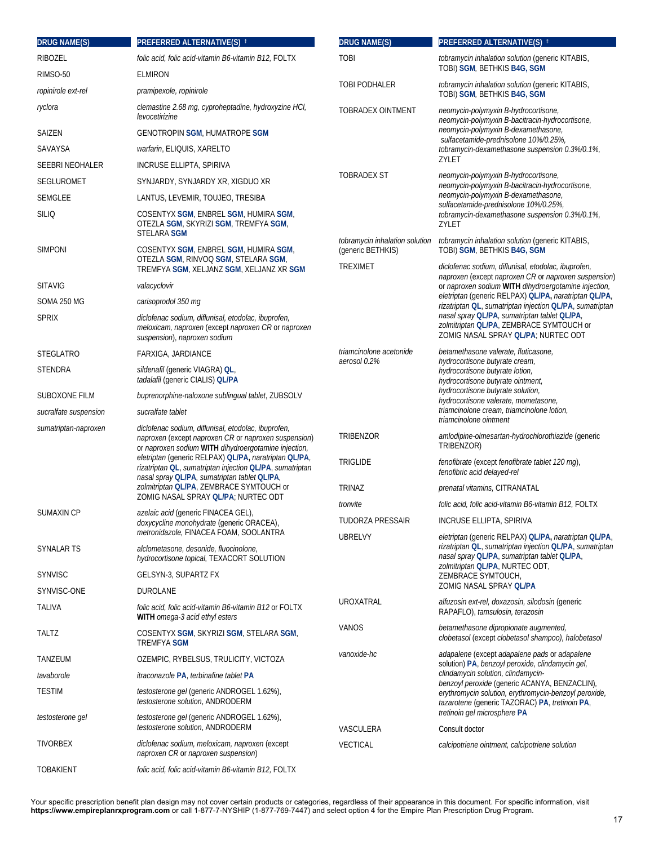| <b>DRUG NAME(S)</b>    | PREFERRED ALTERNATIVE(S) #                                                                                                                                                                                                                                                                                                               | <b>DRUG NAME(S)</b>                                 | PREFERRED ALTERNATIVE(S) #                                                                                                                                                                                                  |
|------------------------|------------------------------------------------------------------------------------------------------------------------------------------------------------------------------------------------------------------------------------------------------------------------------------------------------------------------------------------|-----------------------------------------------------|-----------------------------------------------------------------------------------------------------------------------------------------------------------------------------------------------------------------------------|
| <b>RIBOZEL</b>         | folic acid, folic acid-vitamin B6-vitamin B12, FOLTX                                                                                                                                                                                                                                                                                     | <b>TOBI</b>                                         | tobramycin inhalation solution (generic KITABIS,                                                                                                                                                                            |
| RIMSO-50               | <b>ELMIRON</b>                                                                                                                                                                                                                                                                                                                           |                                                     | TOBI) SGM, BETHKIS B4G, SGM                                                                                                                                                                                                 |
| ropinirole ext-rel     | pramipexole, ropinirole                                                                                                                                                                                                                                                                                                                  | TOBI PODHALER                                       | tobramycin inhalation solution (generic KITABIS,<br>TOBI) SGM, BETHKIS B4G, SGM                                                                                                                                             |
| ryclora                | clemastine 2.68 mg, cyproheptadine, hydroxyzine HCI,<br>levocetirizine                                                                                                                                                                                                                                                                   | <b>TOBRADEX OINTMENT</b>                            | neomycin-polymyxin B-hydrocortisone,<br>neomycin-polymyxin B-bacitracin-hydrocortisone,                                                                                                                                     |
| SAIZEN                 | <b>GENOTROPIN SGM, HUMATROPE SGM</b>                                                                                                                                                                                                                                                                                                     |                                                     | neomycin-polymyxin B-dexamethasone,<br>sulfacetamide-prednisolone 10%/0.25%,                                                                                                                                                |
| SAVAYSA                | warfarin, ELIQUIS, XARELTO                                                                                                                                                                                                                                                                                                               |                                                     | tobramycin-dexamethasone suspension 0.3%/0.1%,                                                                                                                                                                              |
| <b>SEEBRI NEOHALER</b> | INCRUSE ELLIPTA, SPIRIVA                                                                                                                                                                                                                                                                                                                 |                                                     | ZYLET                                                                                                                                                                                                                       |
| <b>SEGLUROMET</b>      | SYNJARDY, SYNJARDY XR, XIGDUO XR                                                                                                                                                                                                                                                                                                         | <b>TOBRADEX ST</b>                                  | neomycin-polymyxin B-hydrocortisone,<br>neomycin-polymyxin B-bacitracin-hydrocortisone,                                                                                                                                     |
| <b>SEMGLEE</b>         | LANTUS, LEVEMIR, TOUJEO, TRESIBA                                                                                                                                                                                                                                                                                                         |                                                     | neomycin-polymyxin B-dexamethasone,                                                                                                                                                                                         |
| <b>SILIQ</b>           | COSENTYX SGM, ENBREL SGM, HUMIRA SGM,<br>OTEZLA SGM, SKYRIZI SGM, TREMFYA SGM,<br><b>STELARA SGM</b>                                                                                                                                                                                                                                     |                                                     | sulfacetamide-prednisolone 10%/0.25%,<br>tobramycin-dexamethasone suspension 0.3%/0.1%,<br>ZYLET                                                                                                                            |
| <b>SIMPONI</b>         | COSENTYX SGM, ENBREL SGM, HUMIRA SGM,<br>OTEZLA SGM, RINVOQ SGM, STELARA SGM,                                                                                                                                                                                                                                                            | tobramycin inhalation solution<br>(generic BETHKIS) | tobramycin inhalation solution (generic KITABIS,<br>TOBI) SGM, BETHKIS B4G, SGM                                                                                                                                             |
| <b>SITAVIG</b>         | TREMFYA SGM, XELJANZ SGM, XELJANZ XR SGM<br>valacyclovir                                                                                                                                                                                                                                                                                 | TREXIMET                                            | diclofenac sodium, diflunisal, etodolac, ibuprofen,<br>naproxen (except naproxen CR or naproxen suspension)<br>or naproxen sodium WITH dihydroergotamine injection,                                                         |
| SOMA 250 MG            | carisoprodol 350 mg                                                                                                                                                                                                                                                                                                                      |                                                     | eletriptan (generic RELPAX) QL/PA, naratriptan QL/PA,                                                                                                                                                                       |
| <b>SPRIX</b>           | diclofenac sodium, diflunisal, etodolac, ibuprofen,<br>meloxicam, naproxen (except naproxen CR or naproxen<br>suspension), naproxen sodium                                                                                                                                                                                               |                                                     | rizatriptan QL, sumatriptan injection QL/PA, sumatriptan<br>nasal spray QL/PA, sumatriptan tablet QL/PA,<br>zolmitriptan QL/PA, ZEMBRACE SYMTOUCH or<br>ZOMIG NASAL SPRAY QL/PA; NURTEC ODT                                 |
| <b>STEGLATRO</b>       | FARXIGA, JARDIANCE                                                                                                                                                                                                                                                                                                                       | triamcinolone acetonide                             | betamethasone valerate, fluticasone,<br>hydrocortisone butyrate cream,<br>hydrocortisone butyrate lotion,<br>hydrocortisone butyrate ointment,<br>hydrocortisone butyrate solution,<br>hydrocortisone valerate, mometasone, |
| <b>STENDRA</b>         | sildenafil (generic VIAGRA) OL,<br>tadalafil (generic CIALIS) QL/PA                                                                                                                                                                                                                                                                      | aerosol 0.2%                                        |                                                                                                                                                                                                                             |
| SUBOXONE FILM          | buprenorphine-naloxone sublingual tablet, ZUBSOLV                                                                                                                                                                                                                                                                                        |                                                     |                                                                                                                                                                                                                             |
| sucralfate suspension  | sucralfate tablet                                                                                                                                                                                                                                                                                                                        |                                                     | triamcinolone cream, triamcinolone lotion,<br>triamcinolone ointment                                                                                                                                                        |
| sumatriptan-naproxen   | diclofenac sodium, diflunisal, etodolac, ibuprofen,<br>naproxen (except naproxen CR or naproxen suspension)<br>or naproxen sodium WITH dihydroergotamine injection,<br>eletriptan (generic RELPAX) QL/PA, naratriptan QL/PA,<br>rizatriptan QL, sumatriptan injection QL/PA, sumatriptan<br>nasal spray QL/PA, sumatriptan tablet QL/PA, | TRIBENZOR<br><b>TRIGLIDE</b>                        | amlodipine-olmesartan-hydrochlorothiazide (generic<br>TRIBENZOR)<br>fenofibrate (except fenofibrate tablet 120 mq),<br>fenofibric acid delayed-rel                                                                          |
|                        | zolmitriptan QL/PA, ZEMBRACE SYMTOUCH or                                                                                                                                                                                                                                                                                                 | <b>TRINAZ</b>                                       | prenatal vitamins, CITRANATAL                                                                                                                                                                                               |
|                        | ZOMIG NASAL SPRAY QL/PA; NURTEC ODT                                                                                                                                                                                                                                                                                                      | tronvite                                            | folic acid, folic acid-vitamin B6-vitamin B12, FOLTX                                                                                                                                                                        |
| SUMAXIN CP             | <i>azelaic acid</i> (generic FINACEA GEL),<br>doxycycline monohydrate (generic ORACEA),                                                                                                                                                                                                                                                  | <b>TUDORZA PRESSAIR</b>                             | INCRUSE ELLIPTA, SPIRIVA                                                                                                                                                                                                    |
|                        | metronidazole, FINACEA FOAM, SOOLANTRA                                                                                                                                                                                                                                                                                                   | <b>UBRELVY</b>                                      | <i>eletriptan</i> (generic RELPAX) QL/PA, <i>naratriptan</i> QL/PA,                                                                                                                                                         |
| SYNALAR TS             | alclometasone, desonide, fluocinolone,<br>hydrocortisone topical, TEXACORT SOLUTION                                                                                                                                                                                                                                                      |                                                     | rizatriptan QL, sumatriptan injection QLIPA, sumatriptan<br>nasal spray QL/PA, sumatriptan tablet QL/PA,<br>zolmitriptan QL/PA, NURTEC ODT,                                                                                 |
| <b>SYNVISC</b>         | GELSYN-3, SUPARTZ FX                                                                                                                                                                                                                                                                                                                     |                                                     | ZEMBRACE SYMTOUCH,                                                                                                                                                                                                          |
| SYNVISC-ONE            | DUROLANE                                                                                                                                                                                                                                                                                                                                 |                                                     | ZOMIG NASAL SPRAY OL/PA                                                                                                                                                                                                     |
| TALIVA                 | folic acid, folic acid-vitamin B6-vitamin B12 or FOLTX<br>WITH omega-3 acid ethyl esters                                                                                                                                                                                                                                                 | <b>UROXATRAL</b>                                    | alfuzosin ext-rel, doxazosin, silodosin (generic<br>RAPAFLO), tamsulosin, terazosin                                                                                                                                         |
| <b>TALTZ</b>           | COSENTYX SGM, SKYRIZI SGM, STELARA SGM,<br>TREMFYA SGM                                                                                                                                                                                                                                                                                   | VANOS                                               | betamethasone dipropionate augmented,<br>clobetasol (except clobetasol shampoo), halobetasol                                                                                                                                |
| TANZEUM                | OZEMPIC, RYBELSUS, TRULICITY, VICTOZA                                                                                                                                                                                                                                                                                                    | vanoxide-hc                                         | adapalene (except adapalene pads or adapalene<br>solution) PA, benzoyl peroxide, clindamycin gel,                                                                                                                           |
| tavaborole             | <i>itraconazole</i> PA, terbinafine tablet PA                                                                                                                                                                                                                                                                                            |                                                     | clindamycin solution, clindamycin-<br>benzoyl peroxide (generic ACANYA, BENZACLIN),                                                                                                                                         |
| <b>TESTIM</b>          | <i>testosterone gel</i> (generic ANDROGEL 1.62%),<br>testosterone solution, ANDRODERM                                                                                                                                                                                                                                                    |                                                     | erythromycin solution, erythromycin-benzoyl peroxide,<br>tazarotene (generic TAZORAC) PA, tretinoin PA,                                                                                                                     |
| testosterone gel       | <i>testosterone gel</i> (generic ANDROGEL 1.62%),<br>testosterone solution, ANDRODERM                                                                                                                                                                                                                                                    | VASCULERA                                           | tretinoin gel microsphere PA<br>Consult doctor                                                                                                                                                                              |
| <b>TIVORBEX</b>        | diclofenac sodium, meloxicam, naproxen (except<br>naproxen CR or naproxen suspension)                                                                                                                                                                                                                                                    | <b>VECTICAL</b>                                     | calcipotriene ointment, calcipotriene solution                                                                                                                                                                              |
| <b>TOBAKIENT</b>       | folic acid, folic acid-vitamin B6-vitamin B12, FOLTX                                                                                                                                                                                                                                                                                     |                                                     |                                                                                                                                                                                                                             |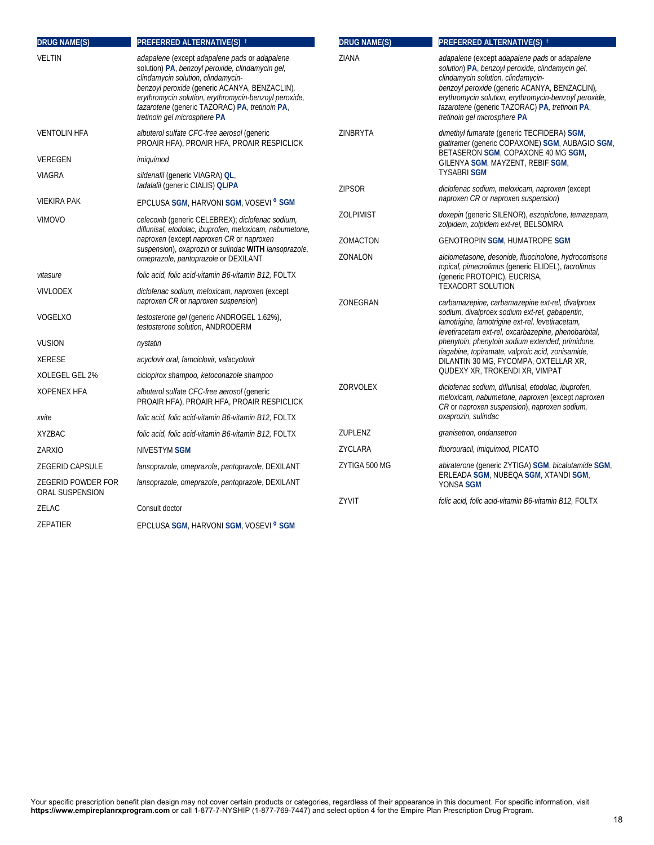| <b>DRUG NAME(S)</b>                   | <b>PREFERRED ALTERNATIVE(S) #</b>                                                                                                                                                                                                                                                                                                   | <b>DRUG NAME(S)</b> | PREFERRED ALTERNATIVE(S) #                                                                                                                                                                                                                                                                                                          |
|---------------------------------------|-------------------------------------------------------------------------------------------------------------------------------------------------------------------------------------------------------------------------------------------------------------------------------------------------------------------------------------|---------------------|-------------------------------------------------------------------------------------------------------------------------------------------------------------------------------------------------------------------------------------------------------------------------------------------------------------------------------------|
| <b>VELTIN</b>                         | adapalene (except adapalene pads or adapalene<br>solution) PA, benzoyl peroxide, clindamycin gel,<br>clindamycin solution, clindamycin-<br>benzoyl peroxide (generic ACANYA, BENZACLIN),<br>erythromycin solution, erythromycin-benzoyl peroxide,<br>tazarotene (generic TAZORAC) PA, tretinoin PA,<br>tretinoin gel microsphere PA | ZIANA               | adapalene (except adapalene pads or adapalene<br>solution) PA, benzoyl peroxide, clindamycin gel,<br>clindamycin solution, clindamycin-<br>benzoyl peroxide (generic ACANYA, BENZACLIN),<br>erythromycin solution, erythromycin-benzoyl peroxide,<br>tazarotene (generic TAZORAC) PA, tretinoin PA,<br>tretinoin gel microsphere PA |
| <b>VENTOLIN HFA</b>                   | albuterol sulfate CFC-free aerosol (generic<br>PROAIR HFA), PROAIR HFA, PROAIR RESPICLICK                                                                                                                                                                                                                                           | ZINBRYTA            | dimethyl fumarate (generic TECFIDERA) SGM,<br>glatiramer (generic COPAXONE) SGM, AUBAGIO SGM,                                                                                                                                                                                                                                       |
| VEREGEN                               | imiquimod                                                                                                                                                                                                                                                                                                                           |                     | BETASERON SGM, COPAXONE 40 MG SGM,<br>GILENYA SGM, MAYZENT, REBIF SGM,                                                                                                                                                                                                                                                              |
| VIAGRA                                | sildenafil (generic VIAGRA) OL,                                                                                                                                                                                                                                                                                                     |                     | <b>TYSABRI SGM</b>                                                                                                                                                                                                                                                                                                                  |
|                                       | tadalafil (generic CIALIS) QL/PA                                                                                                                                                                                                                                                                                                    | <b>ZIPSOR</b>       | diclofenac sodium, meloxicam, naproxen (except<br>naproxen CR or naproxen suspension)                                                                                                                                                                                                                                               |
| <b>VIEKIRA PAK</b>                    | EPCLUSA SGM, HARVONI SGM, VOSEVI <sup>o</sup> SGM                                                                                                                                                                                                                                                                                   |                     |                                                                                                                                                                                                                                                                                                                                     |
| <b>VIMOVO</b>                         | celecoxib (generic CELEBREX); diclofenac sodium,<br>diflunisal, etodolac, ibuprofen, meloxicam, nabumetone,                                                                                                                                                                                                                         | <b>ZOLPIMIST</b>    | doxepin (generic SILENOR), eszopiclone, temazepam,<br>zolpidem, zolpidem ext-rel, BELSOMRA                                                                                                                                                                                                                                          |
|                                       | naproxen (except naproxen CR or naproxen                                                                                                                                                                                                                                                                                            | ZOMACTON            | <b>GENOTROPIN SGM, HUMATROPE SGM</b>                                                                                                                                                                                                                                                                                                |
|                                       | suspension), oxaprozin or sulindac WITH lansoprazole,<br>omeprazole, pantoprazole or DEXILANT                                                                                                                                                                                                                                       | ZONALON             | alclometasone, desonide, fluocinolone, hydrocortisone                                                                                                                                                                                                                                                                               |
| vitasure                              | folic acid, folic acid-vitamin B6-vitamin B12, FOLTX                                                                                                                                                                                                                                                                                |                     | topical, pimecrolimus (generic ELIDEL), tacrolimus<br>(generic PROTOPIC), EUCRISA,                                                                                                                                                                                                                                                  |
| <b>VIVLODEX</b>                       | diclofenac sodium, meloxicam, naproxen (except<br>naproxen CR or naproxen suspension)                                                                                                                                                                                                                                               |                     | <b>TEXACORT SOLUTION</b>                                                                                                                                                                                                                                                                                                            |
| VOGELXO                               | testosterone gel (generic ANDROGEL 1.62%),<br>testosterone solution, ANDRODERM                                                                                                                                                                                                                                                      | ZONEGRAN            | carbamazepine, carbamazepine ext-rel, divalproex<br>sodium, divalproex sodium ext-rel, gabapentin,<br>lamotrigine, lamotrigine ext-rel, levetiracetam,<br>levetiracetam ext-rel, oxcarbazepine, phenobarbital,                                                                                                                      |
| <b>VUSION</b>                         | nystatin                                                                                                                                                                                                                                                                                                                            |                     | phenytoin, phenytoin sodium extended, primidone,                                                                                                                                                                                                                                                                                    |
| <b>XERESE</b>                         | acyclovir oral, famciclovir, valacyclovir                                                                                                                                                                                                                                                                                           |                     | tiagabine, topiramate, valproic acid, zonisamide,<br>DILANTIN 30 MG, FYCOMPA, OXTELLAR XR,                                                                                                                                                                                                                                          |
| XOLEGEL GEL 2%                        | ciclopirox shampoo, ketoconazole shampoo                                                                                                                                                                                                                                                                                            |                     | QUDEXY XR, TROKENDI XR, VIMPAT                                                                                                                                                                                                                                                                                                      |
| <b>XOPENEX HFA</b>                    | albuterol sulfate CFC-free aerosol (generic<br>PROAIR HFA), PROAIR HFA, PROAIR RESPICLICK                                                                                                                                                                                                                                           | ZORVOLEX            | diclofenac sodium, diflunisal, etodolac, ibuprofen,<br>meloxicam, nabumetone, naproxen (except naproxen<br>CR or naproxen suspension), naproxen sodium,                                                                                                                                                                             |
| xvite                                 | folic acid, folic acid-vitamin B6-vitamin B12, FOLTX                                                                                                                                                                                                                                                                                |                     | oxaprozin, sulindac                                                                                                                                                                                                                                                                                                                 |
| <b>XYZBAC</b>                         | folic acid, folic acid-vitamin B6-vitamin B12, FOLTX                                                                                                                                                                                                                                                                                | ZUPLENZ             | granisetron, ondansetron                                                                                                                                                                                                                                                                                                            |
| ZARXIO                                | NIVESTYM SGM                                                                                                                                                                                                                                                                                                                        | ZYCLARA             | fluorouracil, imiquimod, PICATO                                                                                                                                                                                                                                                                                                     |
| ZEGERID CAPSULE                       | lansoprazole, omeprazole, pantoprazole, DEXILANT                                                                                                                                                                                                                                                                                    | ZYTIGA 500 MG       | abiraterone (generic ZYTIGA) SGM, bicalutamide SGM,<br>ERLEADA SGM, NUBEQA SGM, XTANDI SGM,<br>YONSA SGM                                                                                                                                                                                                                            |
| ZEGERID POWDER FOR<br>ORAL SUSPENSION | lansoprazole, omeprazole, pantoprazole, DEXILANT                                                                                                                                                                                                                                                                                    |                     |                                                                                                                                                                                                                                                                                                                                     |
| ZELAC                                 | Consult doctor                                                                                                                                                                                                                                                                                                                      | ZYVIT               | folic acid, folic acid-vitamin B6-vitamin B12, FOLTX                                                                                                                                                                                                                                                                                |
| ZEPATIER                              | EPCLUSA SGM, HARVONI SGM, VOSEVI <sup>o</sup> SGM                                                                                                                                                                                                                                                                                   |                     |                                                                                                                                                                                                                                                                                                                                     |